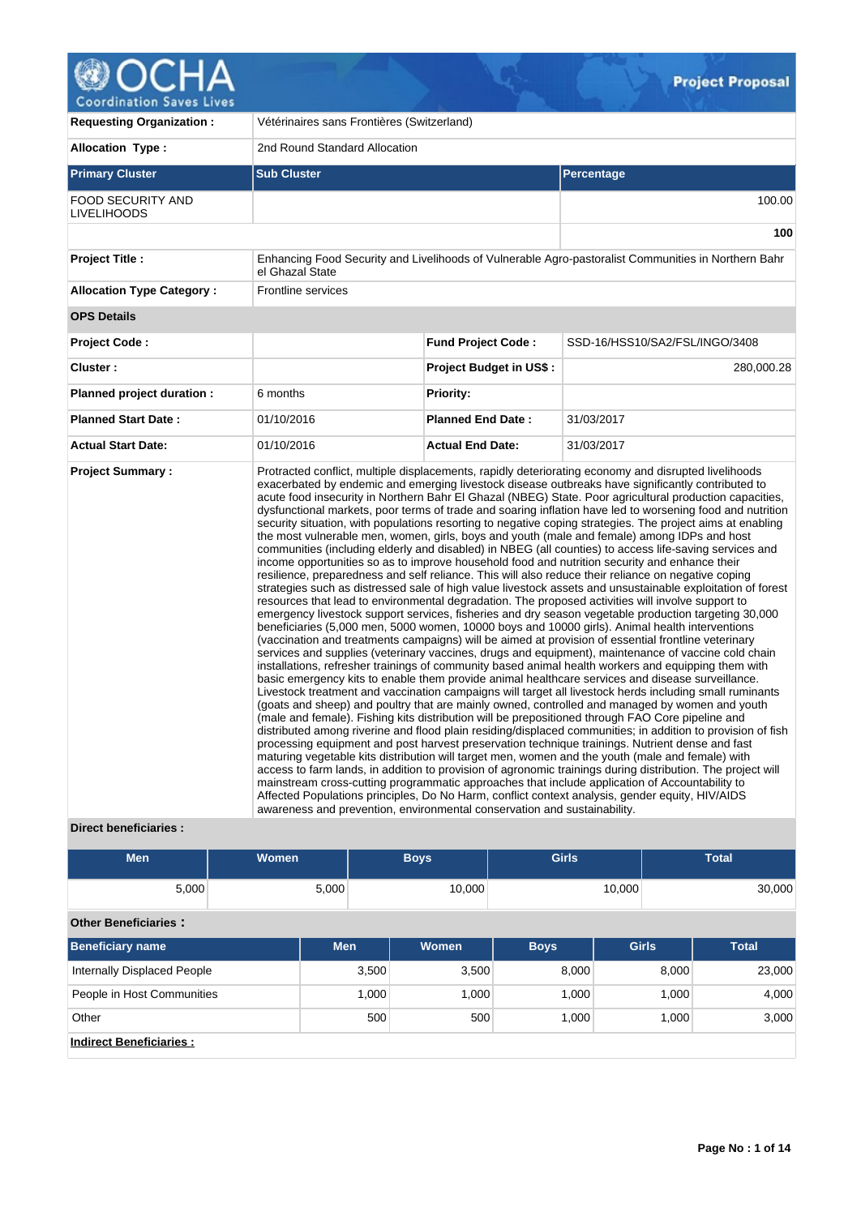

 $\sqrt{2}$ 

| <b>Requesting Organization:</b>                 | Vétérinaires sans Frontières (Switzerland)                               |                                |                                                                                                                                                                                                                                                                                                                                                                                                                                                                                                                                                                                                                                                                                                                                                                                                                                                                                                                                                                                                                                                                                                                                                                                                                                                                                                                                                                                                                                                                                                                                                                                                                                                                                                                                                                                                                                                                                                                                                                                                                                                                                                                                                                                                                                                                                                                                                                                                                                                                                                                                                                                                                                                                                                                                                                                   |  |  |  |
|-------------------------------------------------|--------------------------------------------------------------------------|--------------------------------|-----------------------------------------------------------------------------------------------------------------------------------------------------------------------------------------------------------------------------------------------------------------------------------------------------------------------------------------------------------------------------------------------------------------------------------------------------------------------------------------------------------------------------------------------------------------------------------------------------------------------------------------------------------------------------------------------------------------------------------------------------------------------------------------------------------------------------------------------------------------------------------------------------------------------------------------------------------------------------------------------------------------------------------------------------------------------------------------------------------------------------------------------------------------------------------------------------------------------------------------------------------------------------------------------------------------------------------------------------------------------------------------------------------------------------------------------------------------------------------------------------------------------------------------------------------------------------------------------------------------------------------------------------------------------------------------------------------------------------------------------------------------------------------------------------------------------------------------------------------------------------------------------------------------------------------------------------------------------------------------------------------------------------------------------------------------------------------------------------------------------------------------------------------------------------------------------------------------------------------------------------------------------------------------------------------------------------------------------------------------------------------------------------------------------------------------------------------------------------------------------------------------------------------------------------------------------------------------------------------------------------------------------------------------------------------------------------------------------------------------------------------------------------------|--|--|--|
| <b>Allocation Type:</b>                         | 2nd Round Standard Allocation                                            |                                |                                                                                                                                                                                                                                                                                                                                                                                                                                                                                                                                                                                                                                                                                                                                                                                                                                                                                                                                                                                                                                                                                                                                                                                                                                                                                                                                                                                                                                                                                                                                                                                                                                                                                                                                                                                                                                                                                                                                                                                                                                                                                                                                                                                                                                                                                                                                                                                                                                                                                                                                                                                                                                                                                                                                                                                   |  |  |  |
| <b>Primary Cluster</b>                          | <b>Sub Cluster</b>                                                       |                                | Percentage                                                                                                                                                                                                                                                                                                                                                                                                                                                                                                                                                                                                                                                                                                                                                                                                                                                                                                                                                                                                                                                                                                                                                                                                                                                                                                                                                                                                                                                                                                                                                                                                                                                                                                                                                                                                                                                                                                                                                                                                                                                                                                                                                                                                                                                                                                                                                                                                                                                                                                                                                                                                                                                                                                                                                                        |  |  |  |
| <b>FOOD SECURITY AND</b><br><b>LIVELIHOODS</b>  |                                                                          |                                | 100.00                                                                                                                                                                                                                                                                                                                                                                                                                                                                                                                                                                                                                                                                                                                                                                                                                                                                                                                                                                                                                                                                                                                                                                                                                                                                                                                                                                                                                                                                                                                                                                                                                                                                                                                                                                                                                                                                                                                                                                                                                                                                                                                                                                                                                                                                                                                                                                                                                                                                                                                                                                                                                                                                                                                                                                            |  |  |  |
|                                                 |                                                                          |                                | 100                                                                                                                                                                                                                                                                                                                                                                                                                                                                                                                                                                                                                                                                                                                                                                                                                                                                                                                                                                                                                                                                                                                                                                                                                                                                                                                                                                                                                                                                                                                                                                                                                                                                                                                                                                                                                                                                                                                                                                                                                                                                                                                                                                                                                                                                                                                                                                                                                                                                                                                                                                                                                                                                                                                                                                               |  |  |  |
| <b>Project Title:</b>                           | el Ghazal State                                                          |                                | Enhancing Food Security and Livelihoods of Vulnerable Agro-pastoralist Communities in Northern Bahr                                                                                                                                                                                                                                                                                                                                                                                                                                                                                                                                                                                                                                                                                                                                                                                                                                                                                                                                                                                                                                                                                                                                                                                                                                                                                                                                                                                                                                                                                                                                                                                                                                                                                                                                                                                                                                                                                                                                                                                                                                                                                                                                                                                                                                                                                                                                                                                                                                                                                                                                                                                                                                                                               |  |  |  |
| <b>Allocation Type Category:</b>                | <b>Frontline services</b>                                                |                                |                                                                                                                                                                                                                                                                                                                                                                                                                                                                                                                                                                                                                                                                                                                                                                                                                                                                                                                                                                                                                                                                                                                                                                                                                                                                                                                                                                                                                                                                                                                                                                                                                                                                                                                                                                                                                                                                                                                                                                                                                                                                                                                                                                                                                                                                                                                                                                                                                                                                                                                                                                                                                                                                                                                                                                                   |  |  |  |
| <b>OPS Details</b>                              |                                                                          |                                |                                                                                                                                                                                                                                                                                                                                                                                                                                                                                                                                                                                                                                                                                                                                                                                                                                                                                                                                                                                                                                                                                                                                                                                                                                                                                                                                                                                                                                                                                                                                                                                                                                                                                                                                                                                                                                                                                                                                                                                                                                                                                                                                                                                                                                                                                                                                                                                                                                                                                                                                                                                                                                                                                                                                                                                   |  |  |  |
| <b>Project Code:</b>                            |                                                                          | <b>Fund Project Code:</b>      | SSD-16/HSS10/SA2/FSL/INGO/3408                                                                                                                                                                                                                                                                                                                                                                                                                                                                                                                                                                                                                                                                                                                                                                                                                                                                                                                                                                                                                                                                                                                                                                                                                                                                                                                                                                                                                                                                                                                                                                                                                                                                                                                                                                                                                                                                                                                                                                                                                                                                                                                                                                                                                                                                                                                                                                                                                                                                                                                                                                                                                                                                                                                                                    |  |  |  |
| Cluster:                                        |                                                                          | <b>Project Budget in US\$:</b> | 280,000.28                                                                                                                                                                                                                                                                                                                                                                                                                                                                                                                                                                                                                                                                                                                                                                                                                                                                                                                                                                                                                                                                                                                                                                                                                                                                                                                                                                                                                                                                                                                                                                                                                                                                                                                                                                                                                                                                                                                                                                                                                                                                                                                                                                                                                                                                                                                                                                                                                                                                                                                                                                                                                                                                                                                                                                        |  |  |  |
| Planned project duration :                      | 6 months                                                                 | <b>Priority:</b>               |                                                                                                                                                                                                                                                                                                                                                                                                                                                                                                                                                                                                                                                                                                                                                                                                                                                                                                                                                                                                                                                                                                                                                                                                                                                                                                                                                                                                                                                                                                                                                                                                                                                                                                                                                                                                                                                                                                                                                                                                                                                                                                                                                                                                                                                                                                                                                                                                                                                                                                                                                                                                                                                                                                                                                                                   |  |  |  |
| <b>Planned Start Date:</b>                      | 01/10/2016                                                               | <b>Planned End Date:</b>       | 31/03/2017                                                                                                                                                                                                                                                                                                                                                                                                                                                                                                                                                                                                                                                                                                                                                                                                                                                                                                                                                                                                                                                                                                                                                                                                                                                                                                                                                                                                                                                                                                                                                                                                                                                                                                                                                                                                                                                                                                                                                                                                                                                                                                                                                                                                                                                                                                                                                                                                                                                                                                                                                                                                                                                                                                                                                                        |  |  |  |
| <b>Actual Start Date:</b>                       | 01/10/2016                                                               | <b>Actual End Date:</b>        | 31/03/2017                                                                                                                                                                                                                                                                                                                                                                                                                                                                                                                                                                                                                                                                                                                                                                                                                                                                                                                                                                                                                                                                                                                                                                                                                                                                                                                                                                                                                                                                                                                                                                                                                                                                                                                                                                                                                                                                                                                                                                                                                                                                                                                                                                                                                                                                                                                                                                                                                                                                                                                                                                                                                                                                                                                                                                        |  |  |  |
| <b>Project Summary:</b><br>Diract honoficiarios | awareness and prevention, environmental conservation and sustainability. |                                | Protracted conflict, multiple displacements, rapidly deteriorating economy and disrupted livelihoods<br>exacerbated by endemic and emerging livestock disease outbreaks have significantly contributed to<br>acute food insecurity in Northern Bahr El Ghazal (NBEG) State. Poor agricultural production capacities,<br>dysfunctional markets, poor terms of trade and soaring inflation have led to worsening food and nutrition<br>security situation, with populations resorting to negative coping strategies. The project aims at enabling<br>the most vulnerable men, women, girls, boys and youth (male and female) among IDPs and host<br>communities (including elderly and disabled) in NBEG (all counties) to access life-saving services and<br>income opportunities so as to improve household food and nutrition security and enhance their<br>resilience, preparedness and self reliance. This will also reduce their reliance on negative coping<br>strategies such as distressed sale of high value livestock assets and unsustainable exploitation of forest<br>resources that lead to environmental degradation. The proposed activities will involve support to<br>emergency livestock support services, fisheries and dry season vegetable production targeting 30,000<br>beneficiaries (5,000 men, 5000 women, 10000 boys and 10000 girls). Animal health interventions<br>(vaccination and treatments campaigns) will be aimed at provision of essential frontline veterinary<br>services and supplies (veterinary vaccines, drugs and equipment), maintenance of vaccine cold chain<br>installations, refresher trainings of community based animal health workers and equipping them with<br>basic emergency kits to enable them provide animal healthcare services and disease surveillance.<br>Livestock treatment and vaccination campaigns will target all livestock herds including small ruminants<br>(goats and sheep) and poultry that are mainly owned, controlled and managed by women and youth<br>(male and female). Fishing kits distribution will be prepositioned through FAO Core pipeline and<br>distributed among riverine and flood plain residing/displaced communities; in addition to provision of fish<br>processing equipment and post harvest preservation technique trainings. Nutrient dense and fast<br>maturing vegetable kits distribution will target men, women and the youth (male and female) with<br>access to farm lands, in addition to provision of agronomic trainings during distribution. The project will<br>mainstream cross-cutting programmatic approaches that include application of Accountability to<br>Affected Populations principles, Do No Harm, conflict context analysis, gender equity, HIV/AIDS |  |  |  |

 $Q_{\tau}$ 

# **Direct beneficiaries :**

| <b>Men</b>                         | <b>Women</b> |       | <b>Boys</b> | <b>Girls</b> |              | <b>Total</b> |
|------------------------------------|--------------|-------|-------------|--------------|--------------|--------------|
| 5,000                              | 5,000        |       | 10,000      |              | 10,000       | 30,000       |
| <b>Other Beneficiaries:</b>        |              |       |             |              |              |              |
| <b>Beneficiary name</b>            | <b>Men</b>   |       | Women       | <b>Boys</b>  | <b>Girls</b> | <b>Total</b> |
| <b>Internally Displaced People</b> |              | 3,500 | 3,500       | 8,000        | 8,000        | 23,000       |
| People in Host Communities         |              | 1,000 | 1,000       | 1,000        | 1,000        | 4,000        |
| Other                              |              | 500   | 500         | 1,000        | 1,000        | 3,000        |
| <b>Indirect Beneficiaries:</b>     |              |       |             |              |              |              |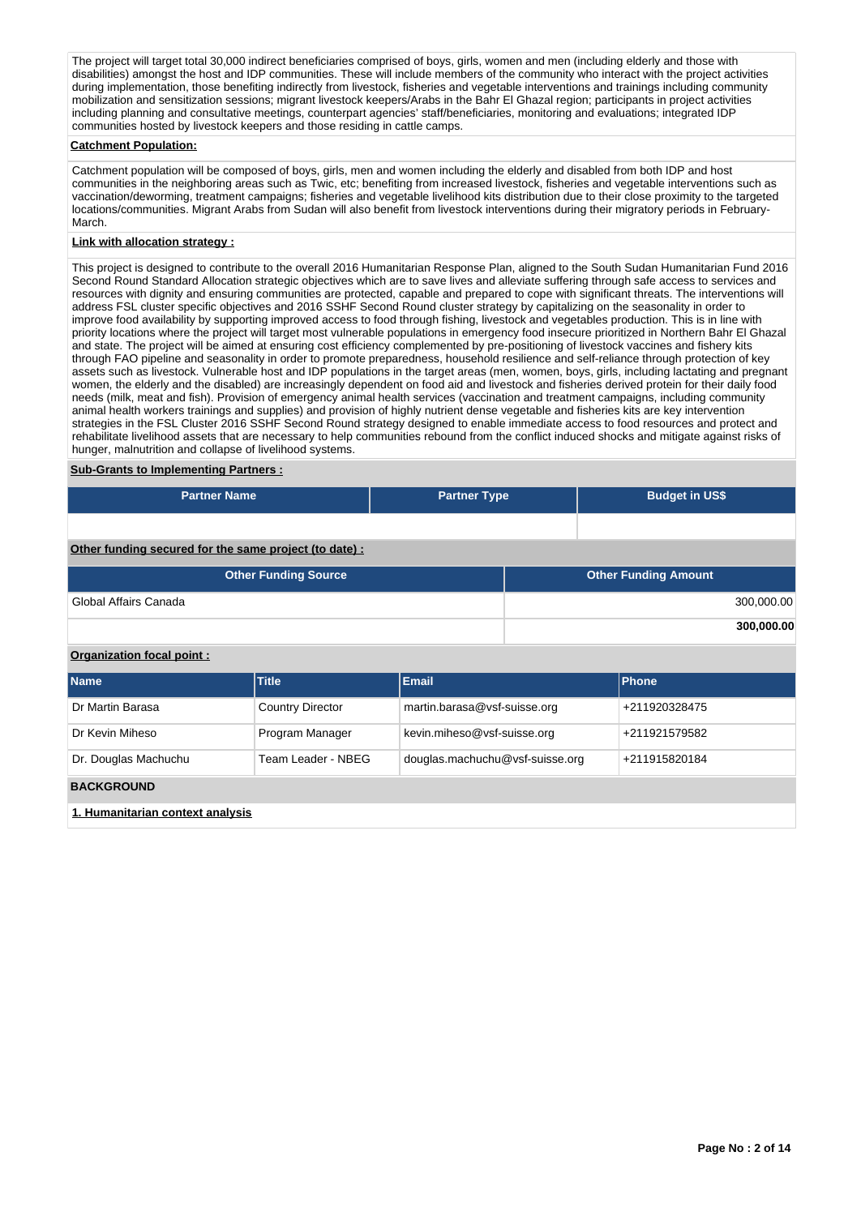The project will target total 30,000 indirect beneficiaries comprised of boys, girls, women and men (including elderly and those with disabilities) amongst the host and IDP communities. These will include members of the community who interact with the project activities during implementation, those benefiting indirectly from livestock, fisheries and vegetable interventions and trainings including community mobilization and sensitization sessions; migrant livestock keepers/Arabs in the Bahr El Ghazal region; participants in project activities including planning and consultative meetings, counterpart agencies' staff/beneficiaries, monitoring and evaluations; integrated IDP communities hosted by livestock keepers and those residing in cattle camps.

#### **Catchment Population:**

Catchment population will be composed of boys, girls, men and women including the elderly and disabled from both IDP and host communities in the neighboring areas such as Twic, etc; benefiting from increased livestock, fisheries and vegetable interventions such as vaccination/deworming, treatment campaigns; fisheries and vegetable livelihood kits distribution due to their close proximity to the targeted locations/communities. Migrant Arabs from Sudan will also benefit from livestock interventions during their migratory periods in February-March.

# **Link with allocation strategy :**

This project is designed to contribute to the overall 2016 Humanitarian Response Plan, aligned to the South Sudan Humanitarian Fund 2016 Second Round Standard Allocation strategic objectives which are to save lives and alleviate suffering through safe access to services and resources with dignity and ensuring communities are protected, capable and prepared to cope with significant threats. The interventions will address FSL cluster specific objectives and 2016 SSHF Second Round cluster strategy by capitalizing on the seasonality in order to improve food availability by supporting improved access to food through fishing, livestock and vegetables production. This is in line with priority locations where the project will target most vulnerable populations in emergency food insecure prioritized in Northern Bahr El Ghazal and state. The project will be aimed at ensuring cost efficiency complemented by pre-positioning of livestock vaccines and fishery kits through FAO pipeline and seasonality in order to promote preparedness, household resilience and self-reliance through protection of key assets such as livestock. Vulnerable host and IDP populations in the target areas (men, women, boys, girls, including lactating and pregnant women, the elderly and the disabled) are increasingly dependent on food aid and livestock and fisheries derived protein for their daily food needs (milk, meat and fish). Provision of emergency animal health services (vaccination and treatment campaigns, including community animal health workers trainings and supplies) and provision of highly nutrient dense vegetable and fisheries kits are key intervention strategies in the FSL Cluster 2016 SSHF Second Round strategy designed to enable immediate access to food resources and protect and rehabilitate livelihood assets that are necessary to help communities rebound from the conflict induced shocks and mitigate against risks of hunger, malnutrition and collapse of livelihood systems.

#### **Sub-Grants to Implementing Partners :**

| <b>Partner Name</b>                                   | <b>Partner Type</b> | <b>Budget in US\$</b> |
|-------------------------------------------------------|---------------------|-----------------------|
|                                                       |                     |                       |
| Other funding secured for the same project (to date): |                     |                       |

| <b>Other Funding Source</b> | <b>Other Funding Amount</b> |
|-----------------------------|-----------------------------|
| Global Affairs Canada       | 300,000.00                  |
|                             | 300,000.00                  |

### **Organization focal point :**

| <b>Name</b>                      | <b>Title</b>            | Email                           | <b>Phone</b>  |
|----------------------------------|-------------------------|---------------------------------|---------------|
| Dr Martin Barasa                 | <b>Country Director</b> | martin.barasa@vsf-suisse.org    | +211920328475 |
| Dr Kevin Miheso                  | Program Manager         | kevin.miheso@vsf-suisse.org     | +211921579582 |
| Dr. Douglas Machuchu             | Team Leader - NBEG      | douglas.machuchu@vsf-suisse.org | +211915820184 |
| <b>BACKGROUND</b>                |                         |                                 |               |
| 1. Humanitarian context analysis |                         |                                 |               |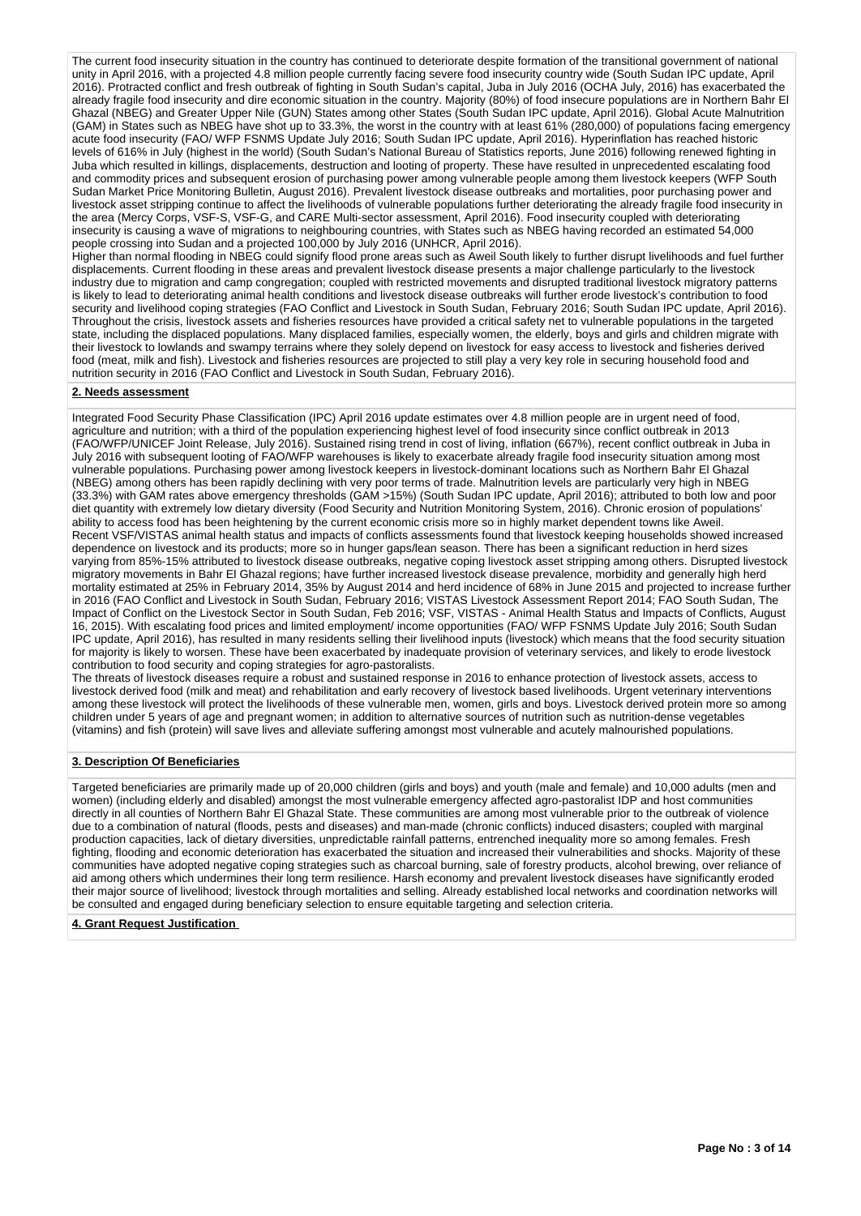The current food insecurity situation in the country has continued to deteriorate despite formation of the transitional government of national unity in April 2016, with a projected 4.8 million people currently facing severe food insecurity country wide (South Sudan IPC update, April 2016). Protracted conflict and fresh outbreak of fighting in South Sudan's capital, Juba in July 2016 (OCHA July, 2016) has exacerbated the already fragile food insecurity and dire economic situation in the country. Majority (80%) of food insecure populations are in Northern Bahr El Ghazal (NBEG) and Greater Upper Nile (GUN) States among other States (South Sudan IPC update, April 2016). Global Acute Malnutrition (GAM) in States such as NBEG have shot up to 33.3%, the worst in the country with at least 61% (280,000) of populations facing emergency acute food insecurity (FAO/ WFP FSNMS Update July 2016; South Sudan IPC update, April 2016). Hyperinflation has reached historic levels of 616% in July (highest in the world) (South Sudan's National Bureau of Statistics reports, June 2016) following renewed fighting in Juba which resulted in killings, displacements, destruction and looting of property. These have resulted in unprecedented escalating food and commodity prices and subsequent erosion of purchasing power among vulnerable people among them livestock keepers (WFP South Sudan Market Price Monitoring Bulletin, August 2016). Prevalent livestock disease outbreaks and mortalities, poor purchasing power and livestock asset stripping continue to affect the livelihoods of vulnerable populations further deteriorating the already fragile food insecurity in the area (Mercy Corps, VSF-S, VSF-G, and CARE Multi-sector assessment, April 2016). Food insecurity coupled with deteriorating insecurity is causing a wave of migrations to neighbouring countries, with States such as NBEG having recorded an estimated 54,000 people crossing into Sudan and a projected 100,000 by July 2016 (UNHCR, April 2016).

Higher than normal flooding in NBEG could signify flood prone areas such as Aweil South likely to further disrupt livelihoods and fuel further displacements. Current flooding in these areas and prevalent livestock disease presents a major challenge particularly to the livestock industry due to migration and camp congregation; coupled with restricted movements and disrupted traditional livestock migratory patterns is likely to lead to deteriorating animal health conditions and livestock disease outbreaks will further erode livestock's contribution to food security and livelihood coping strategies (FAO Conflict and Livestock in South Sudan, February 2016; South Sudan IPC update, April 2016). Throughout the crisis, livestock assets and fisheries resources have provided a critical safety net to vulnerable populations in the targeted state, including the displaced populations. Many displaced families, especially women, the elderly, boys and girls and children migrate with their livestock to lowlands and swampy terrains where they solely depend on livestock for easy access to livestock and fisheries derived food (meat, milk and fish). Livestock and fisheries resources are projected to still play a very key role in securing household food and nutrition security in 2016 (FAO Conflict and Livestock in South Sudan, February 2016).

#### **2. Needs assessment**

Integrated Food Security Phase Classification (IPC) April 2016 update estimates over 4.8 million people are in urgent need of food, agriculture and nutrition; with a third of the population experiencing highest level of food insecurity since conflict outbreak in 2013 (FAO/WFP/UNICEF Joint Release, July 2016). Sustained rising trend in cost of living, inflation (667%), recent conflict outbreak in Juba in July 2016 with subsequent looting of FAO/WFP warehouses is likely to exacerbate already fragile food insecurity situation among most vulnerable populations. Purchasing power among livestock keepers in livestock-dominant locations such as Northern Bahr El Ghazal (NBEG) among others has been rapidly declining with very poor terms of trade. Malnutrition levels are particularly very high in NBEG (33.3%) with GAM rates above emergency thresholds (GAM >15%) (South Sudan IPC update, April 2016); attributed to both low and poor diet quantity with extremely low dietary diversity (Food Security and Nutrition Monitoring System, 2016). Chronic erosion of populations' ability to access food has been heightening by the current economic crisis more so in highly market dependent towns like Aweil. Recent VSF/VISTAS animal health status and impacts of conflicts assessments found that livestock keeping households showed increased dependence on livestock and its products; more so in hunger gaps/lean season. There has been a significant reduction in herd sizes varying from 85%-15% attributed to livestock disease outbreaks, negative coping livestock asset stripping among others. Disrupted livestock migratory movements in Bahr El Ghazal regions; have further increased livestock disease prevalence, morbidity and generally high herd mortality estimated at 25% in February 2014, 35% by August 2014 and herd incidence of 68% in June 2015 and projected to increase further in 2016 (FAO Conflict and Livestock in South Sudan, February 2016; VISTAS Livestock Assessment Report 2014; FAO South Sudan, The Impact of Conflict on the Livestock Sector in South Sudan, Feb 2016; VSF, VISTAS - Animal Health Status and Impacts of Conflicts, August 16, 2015). With escalating food prices and limited employment/ income opportunities (FAO/ WFP FSNMS Update July 2016; South Sudan IPC update, April 2016), has resulted in many residents selling their livelihood inputs (livestock) which means that the food security situation for majority is likely to worsen. These have been exacerbated by inadequate provision of veterinary services, and likely to erode livestock contribution to food security and coping strategies for agro-pastoralists.

The threats of livestock diseases require a robust and sustained response in 2016 to enhance protection of livestock assets, access to livestock derived food (milk and meat) and rehabilitation and early recovery of livestock based livelihoods. Urgent veterinary interventions among these livestock will protect the livelihoods of these vulnerable men, women, girls and boys. Livestock derived protein more so among children under 5 years of age and pregnant women; in addition to alternative sources of nutrition such as nutrition-dense vegetables (vitamins) and fish (protein) will save lives and alleviate suffering amongst most vulnerable and acutely malnourished populations.

### **3. Description Of Beneficiaries**

Targeted beneficiaries are primarily made up of 20,000 children (girls and boys) and youth (male and female) and 10,000 adults (men and women) (including elderly and disabled) amongst the most vulnerable emergency affected agro-pastoralist IDP and host communities directly in all counties of Northern Bahr El Ghazal State. These communities are among most vulnerable prior to the outbreak of violence due to a combination of natural (floods, pests and diseases) and man-made (chronic conflicts) induced disasters; coupled with marginal production capacities, lack of dietary diversities, unpredictable rainfall patterns, entrenched inequality more so among females. Fresh fighting, flooding and economic deterioration has exacerbated the situation and increased their vulnerabilities and shocks. Majority of these communities have adopted negative coping strategies such as charcoal burning, sale of forestry products, alcohol brewing, over reliance of aid among others which undermines their long term resilience. Harsh economy and prevalent livestock diseases have significantly eroded their major source of livelihood; livestock through mortalities and selling. Already established local networks and coordination networks will be consulted and engaged during beneficiary selection to ensure equitable targeting and selection criteria.

#### **4. Grant Request Justification**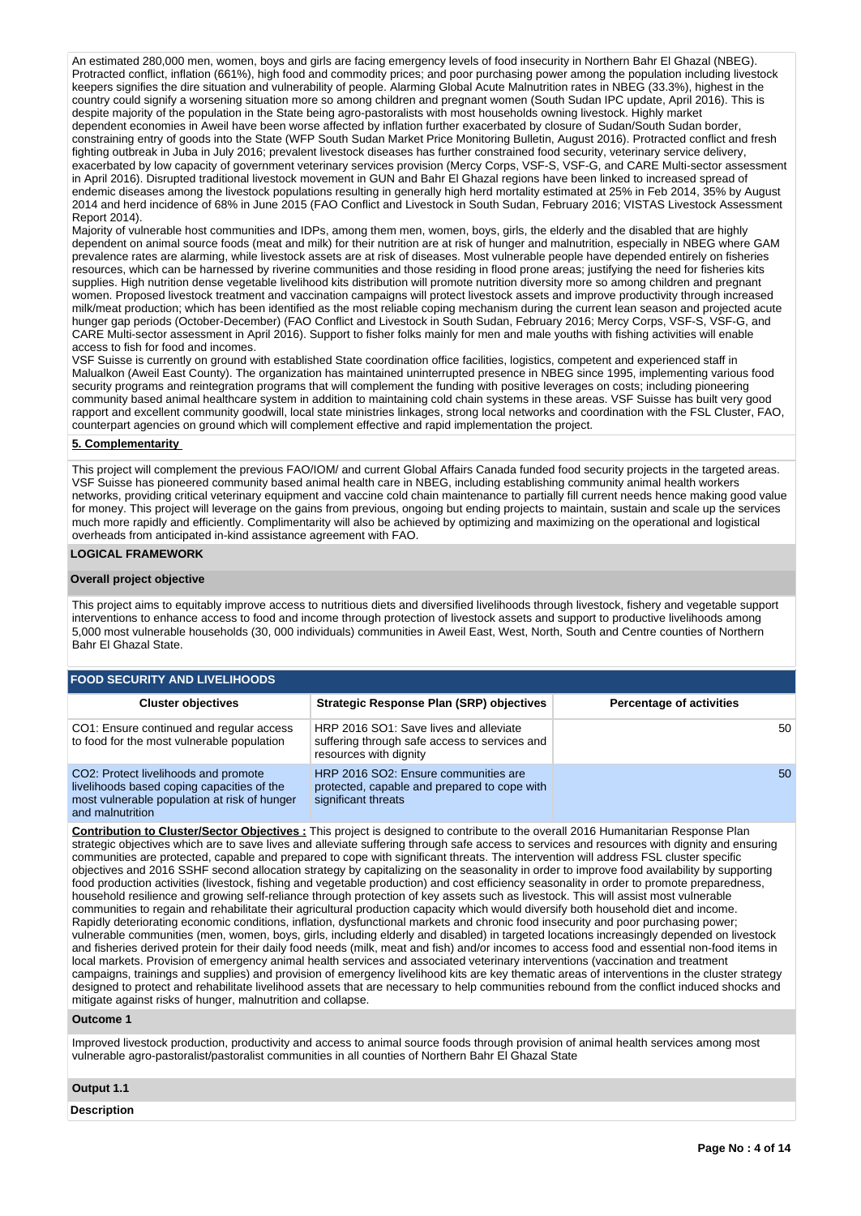An estimated 280,000 men, women, boys and girls are facing emergency levels of food insecurity in Northern Bahr El Ghazal (NBEG). Protracted conflict, inflation (661%), high food and commodity prices; and poor purchasing power among the population including livestock keepers signifies the dire situation and vulnerability of people. Alarming Global Acute Malnutrition rates in NBEG (33.3%), highest in the country could signify a worsening situation more so among children and pregnant women (South Sudan IPC update, April 2016). This is despite majority of the population in the State being agro-pastoralists with most households owning livestock. Highly market dependent economies in Aweil have been worse affected by inflation further exacerbated by closure of Sudan/South Sudan border, constraining entry of goods into the State (WFP South Sudan Market Price Monitoring Bulletin, August 2016). Protracted conflict and fresh fighting outbreak in Juba in July 2016; prevalent livestock diseases has further constrained food security, veterinary service delivery, exacerbated by low capacity of government veterinary services provision (Mercy Corps, VSF-S, VSF-G, and CARE Multi-sector assessment in April 2016). Disrupted traditional livestock movement in GUN and Bahr El Ghazal regions have been linked to increased spread of endemic diseases among the livestock populations resulting in generally high herd mortality estimated at 25% in Feb 2014, 35% by August 2014 and herd incidence of 68% in June 2015 (FAO Conflict and Livestock in South Sudan, February 2016; VISTAS Livestock Assessment Report 2014).

Majority of vulnerable host communities and IDPs, among them men, women, boys, girls, the elderly and the disabled that are highly dependent on animal source foods (meat and milk) for their nutrition are at risk of hunger and malnutrition, especially in NBEG where GAM prevalence rates are alarming, while livestock assets are at risk of diseases. Most vulnerable people have depended entirely on fisheries resources, which can be harnessed by riverine communities and those residing in flood prone areas; justifying the need for fisheries kits supplies. High nutrition dense vegetable livelihood kits distribution will promote nutrition diversity more so among children and pregnant women. Proposed livestock treatment and vaccination campaigns will protect livestock assets and improve productivity through increased milk/meat production; which has been identified as the most reliable coping mechanism during the current lean season and projected acute hunger gap periods (October-December) (FAO Conflict and Livestock in South Sudan, February 2016; Mercy Corps, VSF-S, VSF-G, and CARE Multi-sector assessment in April 2016). Support to fisher folks mainly for men and male youths with fishing activities will enable access to fish for food and incomes.

VSF Suisse is currently on ground with established State coordination office facilities, logistics, competent and experienced staff in Malualkon (Aweil East County). The organization has maintained uninterrupted presence in NBEG since 1995, implementing various food security programs and reintegration programs that will complement the funding with positive leverages on costs; including pioneering community based animal healthcare system in addition to maintaining cold chain systems in these areas. VSF Suisse has built very good rapport and excellent community goodwill, local state ministries linkages, strong local networks and coordination with the FSL Cluster, FAO, counterpart agencies on ground which will complement effective and rapid implementation the project.

#### **5. Complementarity**

This project will complement the previous FAO/IOM/ and current Global Affairs Canada funded food security projects in the targeted areas. VSF Suisse has pioneered community based animal health care in NBEG, including establishing community animal health workers networks, providing critical veterinary equipment and vaccine cold chain maintenance to partially fill current needs hence making good value for money. This project will leverage on the gains from previous, ongoing but ending projects to maintain, sustain and scale up the services much more rapidly and efficiently. Complimentarity will also be achieved by optimizing and maximizing on the operational and logistical overheads from anticipated in-kind assistance agreement with FAO.

### **LOGICAL FRAMEWORK**

#### **Overall project objective**

This project aims to equitably improve access to nutritious diets and diversified livelihoods through livestock, fishery and vegetable support interventions to enhance access to food and income through protection of livestock assets and support to productive livelihoods among 5,000 most vulnerable households (30, 000 individuals) communities in Aweil East, West, North, South and Centre counties of Northern Bahr El Ghazal State.

| <b>FOOD SECURITY AND LIVELIHOODS</b>                                                                                                                   |                                                                                                                   |                                 |  |  |  |  |  |  |  |
|--------------------------------------------------------------------------------------------------------------------------------------------------------|-------------------------------------------------------------------------------------------------------------------|---------------------------------|--|--|--|--|--|--|--|
| <b>Cluster objectives</b>                                                                                                                              | Strategic Response Plan (SRP) objectives                                                                          | <b>Percentage of activities</b> |  |  |  |  |  |  |  |
| CO1: Ensure continued and regular access<br>to food for the most vulnerable population                                                                 | HRP 2016 SO1: Save lives and alleviate<br>suffering through safe access to services and<br>resources with dignity | 50                              |  |  |  |  |  |  |  |
| CO2: Protect livelihoods and promote<br>livelihoods based coping capacities of the<br>most vulnerable population at risk of hunger<br>and malnutrition | HRP 2016 SO2: Ensure communities are<br>protected, capable and prepared to cope with<br>significant threats       | 50                              |  |  |  |  |  |  |  |

**Contribution to Cluster/Sector Objectives :** This project is designed to contribute to the overall 2016 Humanitarian Response Plan strategic objectives which are to save lives and alleviate suffering through safe access to services and resources with dignity and ensuring communities are protected, capable and prepared to cope with significant threats. The intervention will address FSL cluster specific objectives and 2016 SSHF second allocation strategy by capitalizing on the seasonality in order to improve food availability by supporting food production activities (livestock, fishing and vegetable production) and cost efficiency seasonality in order to promote preparedness, household resilience and growing self-reliance through protection of key assets such as livestock. This will assist most vulnerable communities to regain and rehabilitate their agricultural production capacity which would diversify both household diet and income. Rapidly deteriorating economic conditions, inflation, dysfunctional markets and chronic food insecurity and poor purchasing power; vulnerable communities (men, women, boys, girls, including elderly and disabled) in targeted locations increasingly depended on livestock and fisheries derived protein for their daily food needs (milk, meat and fish) and/or incomes to access food and essential non-food items in local markets. Provision of emergency animal health services and associated veterinary interventions (vaccination and treatment campaigns, trainings and supplies) and provision of emergency livelihood kits are key thematic areas of interventions in the cluster strategy designed to protect and rehabilitate livelihood assets that are necessary to help communities rebound from the conflict induced shocks and mitigate against risks of hunger, malnutrition and collapse.

### **Outcome 1**

Improved livestock production, productivity and access to animal source foods through provision of animal health services among most vulnerable agro-pastoralist/pastoralist communities in all counties of Northern Bahr El Ghazal State

**Output 1.1**

**Description**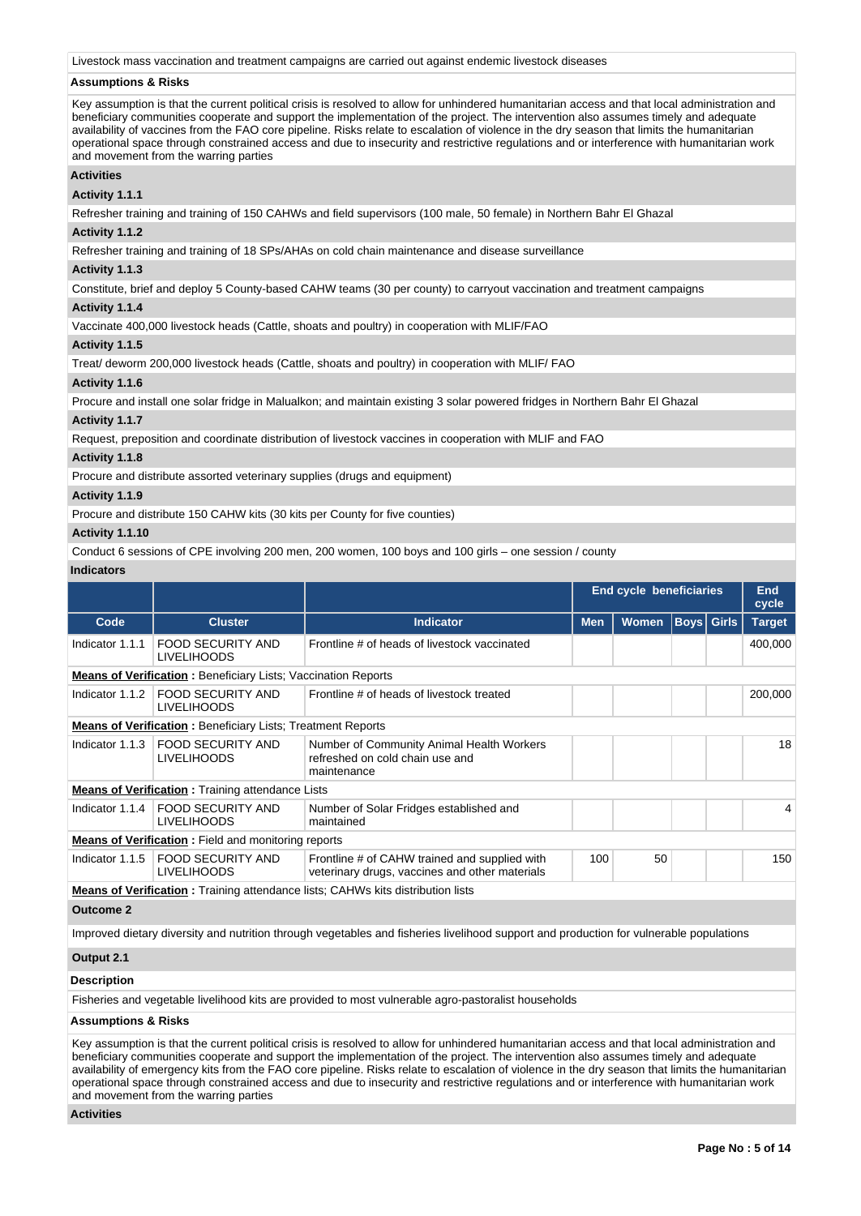Livestock mass vaccination and treatment campaigns are carried out against endemic livestock diseases

## **Assumptions & Risks**

Key assumption is that the current political crisis is resolved to allow for unhindered humanitarian access and that local administration and beneficiary communities cooperate and support the implementation of the project. The intervention also assumes timely and adequate availability of vaccines from the FAO core pipeline. Risks relate to escalation of violence in the dry season that limits the humanitarian operational space through constrained access and due to insecurity and restrictive regulations and or interference with humanitarian work and movement from the warring parties

# **Activities**

**Activity 1.1.1** 

Refresher training and training of 150 CAHWs and field supervisors (100 male, 50 female) in Northern Bahr El Ghazal

# **Activity 1.1.2**

Refresher training and training of 18 SPs/AHAs on cold chain maintenance and disease surveillance

#### **Activity 1.1.3**

Constitute, brief and deploy 5 County-based CAHW teams (30 per county) to carryout vaccination and treatment campaigns

# **Activity 1.1.4**

Vaccinate 400,000 livestock heads (Cattle, shoats and poultry) in cooperation with MLIF/FAO

### **Activity 1.1.5**

Treat/ deworm 200,000 livestock heads (Cattle, shoats and poultry) in cooperation with MLIF/ FAO

### **Activity 1.1.6**

Procure and install one solar fridge in Malualkon; and maintain existing 3 solar powered fridges in Northern Bahr El Ghazal

#### **Activity 1.1.7**

Request, preposition and coordinate distribution of livestock vaccines in cooperation with MLIF and FAO

#### **Activity 1.1.8**

Procure and distribute assorted veterinary supplies (drugs and equipment)

#### **Activity 1.1.9**

Procure and distribute 150 CAHW kits (30 kits per County for five counties)

### **Activity 1.1.10**

Conduct 6 sessions of CPE involving 200 men, 200 women, 100 boys and 100 girls – one session / county

### **Indicators**

|                    |                                                                      |                                                                                                                                        |            | <b>End cycle beneficiaries</b> |                   |  | End<br>cycle  |  |
|--------------------|----------------------------------------------------------------------|----------------------------------------------------------------------------------------------------------------------------------------|------------|--------------------------------|-------------------|--|---------------|--|
| Code               | <b>Cluster</b>                                                       | <b>Indicator</b>                                                                                                                       | <b>Men</b> | <b>Women</b>                   | <b>Boys</b> Girls |  | <b>Target</b> |  |
| Indicator 1.1.1    | <b>FOOD SECURITY AND</b><br><b>LIVELIHOODS</b>                       | Frontline # of heads of livestock vaccinated                                                                                           |            |                                |                   |  | 400,000       |  |
|                    | <b>Means of Verification:</b> Beneficiary Lists; Vaccination Reports |                                                                                                                                        |            |                                |                   |  |               |  |
| Indicator 1.1.2    | <b>FOOD SECURITY AND</b><br><b>LIVELIHOODS</b>                       | Frontline # of heads of livestock treated                                                                                              |            |                                |                   |  | 200,000       |  |
|                    | <b>Means of Verification: Beneficiary Lists: Treatment Reports</b>   |                                                                                                                                        |            |                                |                   |  |               |  |
| Indicator 1.1.3    | <b>FOOD SECURITY AND</b><br><b>LIVELIHOODS</b>                       | Number of Community Animal Health Workers<br>refreshed on cold chain use and<br>maintenance                                            |            |                                |                   |  | 18            |  |
|                    | <b>Means of Verification: Training attendance Lists</b>              |                                                                                                                                        |            |                                |                   |  |               |  |
| Indicator 1.1.4    | <b>FOOD SECURITY AND</b><br><b>LIVELIHOODS</b>                       | Number of Solar Fridges established and<br>maintained                                                                                  |            |                                |                   |  | 4             |  |
|                    | <b>Means of Verification:</b> Field and monitoring reports           |                                                                                                                                        |            |                                |                   |  |               |  |
| Indicator 1.1.5    | <b>FOOD SECURITY AND</b><br><b>LIVELIHOODS</b>                       | Frontline # of CAHW trained and supplied with<br>veterinary drugs, vaccines and other materials                                        | 100        | 50                             |                   |  | 150           |  |
|                    |                                                                      | <b>Means of Verification:</b> Training attendance lists; CAHWs kits distribution lists                                                 |            |                                |                   |  |               |  |
| <b>Outcome 2</b>   |                                                                      |                                                                                                                                        |            |                                |                   |  |               |  |
|                    |                                                                      | Improved dietary diversity and nutrition through vegetables and fisheries livelihood support and production for vulnerable populations |            |                                |                   |  |               |  |
| Output 2.1         |                                                                      |                                                                                                                                        |            |                                |                   |  |               |  |
| <b>Description</b> |                                                                      |                                                                                                                                        |            |                                |                   |  |               |  |
|                    |                                                                      | Fisheries and vegetable livelihood kits are provided to most vulnerable agro-pastoralist households                                    |            |                                |                   |  |               |  |

#### **Assumptions & Risks**

Key assumption is that the current political crisis is resolved to allow for unhindered humanitarian access and that local administration and beneficiary communities cooperate and support the implementation of the project. The intervention also assumes timely and adequate availability of emergency kits from the FAO core pipeline. Risks relate to escalation of violence in the dry season that limits the humanitarian operational space through constrained access and due to insecurity and restrictive regulations and or interference with humanitarian work and movement from the warring parties

#### **Activities**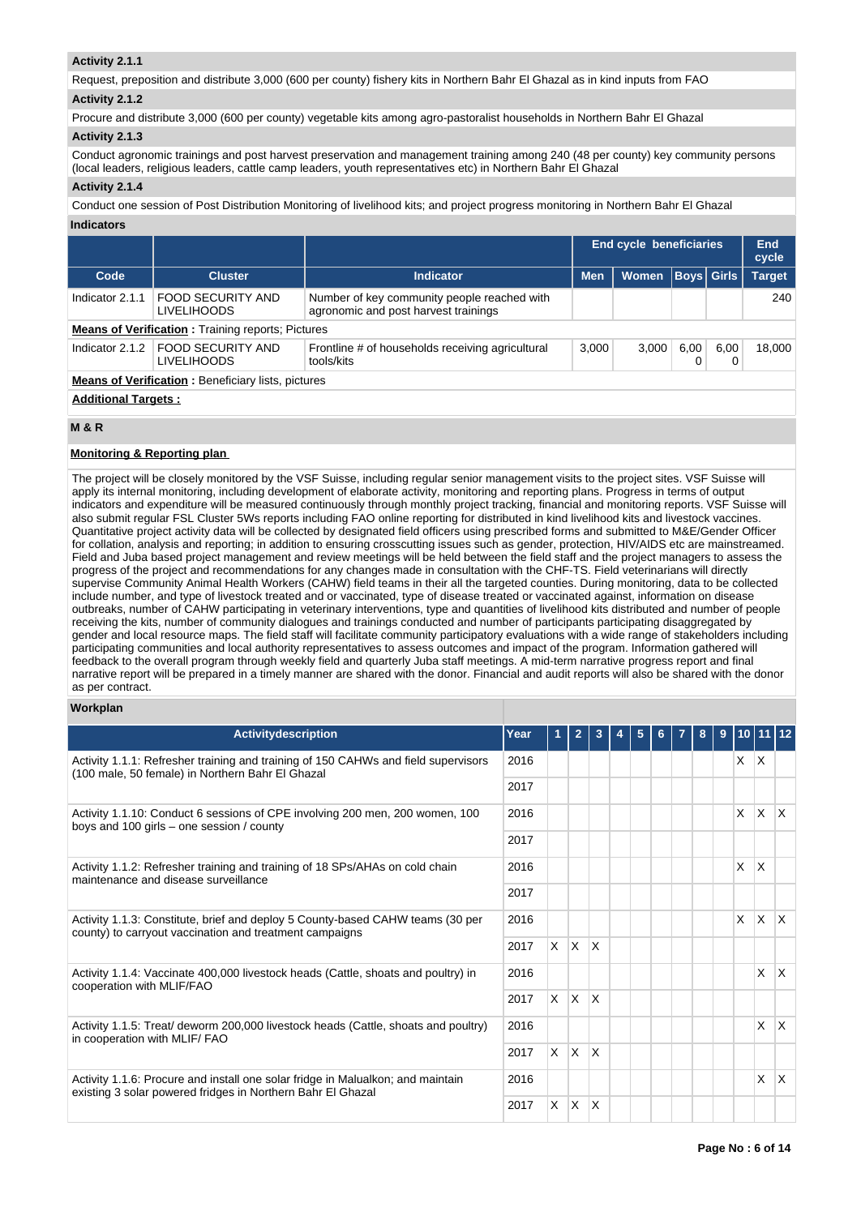# **Activity 2.1.1**

Request, preposition and distribute 3,000 (600 per county) fishery kits in Northern Bahr El Ghazal as in kind inputs from FAO **Activity 2.1.2** 

Procure and distribute 3,000 (600 per county) vegetable kits among agro-pastoralist households in Northern Bahr El Ghazal

# **Activity 2.1.3**

Conduct agronomic trainings and post harvest preservation and management training among 240 (48 per county) key community persons (local leaders, religious leaders, cattle camp leaders, youth representatives etc) in Northern Bahr El Ghazal

### **Activity 2.1.4**

Conduct one session of Post Distribution Monitoring of livelihood kits; and project progress monitoring in Northern Bahr El Ghazal

| Indicators |  |
|------------|--|
|------------|--|

|                                                           |                                         |                                                                                     |            | <b>End cycle beneficiaries</b> |      |                   | <b>End</b><br>cycle |  |
|-----------------------------------------------------------|-----------------------------------------|-------------------------------------------------------------------------------------|------------|--------------------------------|------|-------------------|---------------------|--|
| Code                                                      | <b>Cluster</b>                          | <b>Indicator</b>                                                                    | <b>Men</b> | <b>Women</b>                   |      | <b>Boys Girls</b> | <b>Target</b>       |  |
| Indicator 2.1.1                                           | FOOD SECURITY AND<br><b>LIVELIHOODS</b> | Number of key community people reached with<br>agronomic and post harvest trainings |            |                                |      |                   | 240                 |  |
| <b>Means of Verification:</b> Training reports; Pictures  |                                         |                                                                                     |            |                                |      |                   |                     |  |
| Indicator 2.1.2                                           | FOOD SECURITY AND<br><b>LIVELIHOODS</b> | Frontline # of households receiving agricultural<br>tools/kits                      | 3,000      | 3,000                          | 6,00 | 6.00<br>0         | 18.000              |  |
| <b>Means of Verification:</b> Beneficiary lists, pictures |                                         |                                                                                     |            |                                |      |                   |                     |  |
| <b>Additional Targets:</b>                                |                                         |                                                                                     |            |                                |      |                   |                     |  |

# **M & R**

# **Monitoring & Reporting plan**

The project will be closely monitored by the VSF Suisse, including regular senior management visits to the project sites. VSF Suisse will apply its internal monitoring, including development of elaborate activity, monitoring and reporting plans. Progress in terms of output indicators and expenditure will be measured continuously through monthly project tracking, financial and monitoring reports. VSF Suisse will also submit regular FSL Cluster 5Ws reports including FAO online reporting for distributed in kind livelihood kits and livestock vaccines. Quantitative project activity data will be collected by designated field officers using prescribed forms and submitted to M&E/Gender Officer for collation, analysis and reporting; in addition to ensuring crosscutting issues such as gender, protection, HIV/AIDS etc are mainstreamed. Field and Juba based project management and review meetings will be held between the field staff and the project managers to assess the progress of the project and recommendations for any changes made in consultation with the CHF-TS. Field veterinarians will directly supervise Community Animal Health Workers (CAHW) field teams in their all the targeted counties. During monitoring, data to be collected include number, and type of livestock treated and or vaccinated, type of disease treated or vaccinated against, information on disease outbreaks, number of CAHW participating in veterinary interventions, type and quantities of livelihood kits distributed and number of people receiving the kits, number of community dialogues and trainings conducted and number of participants participating disaggregated by gender and local resource maps. The field staff will facilitate community participatory evaluations with a wide range of stakeholders including participating communities and local authority representatives to assess outcomes and impact of the program. Information gathered will feedback to the overall program through weekly field and quarterly Juba staff meetings. A mid-term narrative progress report and final narrative report will be prepared in a timely manner are shared with the donor. Financial and audit reports will also be shared with the donor as per contract.

## **Workplan**

| <b>Activitydescription</b>                                                                                                                     | Year |          |              |              | 5 |  | 8 | 9 |          | 10 11 12     |              |
|------------------------------------------------------------------------------------------------------------------------------------------------|------|----------|--------------|--------------|---|--|---|---|----------|--------------|--------------|
| Activity 1.1.1: Refresher training and training of 150 CAHWs and field supervisors<br>(100 male, 50 female) in Northern Bahr El Ghazal         | 2016 |          |              |              |   |  |   |   | X.       | $\mathsf{X}$ |              |
|                                                                                                                                                | 2017 |          |              |              |   |  |   |   |          |              |              |
| Activity 1.1.10: Conduct 6 sessions of CPE involving 200 men, 200 women, 100<br>boys and 100 girls – one session / county                      | 2016 |          |              |              |   |  |   |   | X        | $\mathsf{X}$ | $\mathsf{X}$ |
|                                                                                                                                                | 2017 |          |              |              |   |  |   |   |          |              |              |
| Activity 1.1.2: Refresher training and training of 18 SPs/AHAs on cold chain<br>maintenance and disease surveillance                           | 2016 |          |              |              |   |  |   |   | X.       | $\times$     |              |
|                                                                                                                                                | 2017 |          |              |              |   |  |   |   |          |              |              |
| Activity 1.1.3: Constitute, brief and deploy 5 County-based CAHW teams (30 per<br>county) to carryout vaccination and treatment campaigns      | 2016 |          |              |              |   |  |   |   | $\times$ | ΙX.          | $\mathsf{X}$ |
|                                                                                                                                                |      | <b>X</b> | $\mathsf{X}$ | $\mathsf{X}$ |   |  |   |   |          |              |              |
| Activity 1.1.4: Vaccinate 400,000 livestock heads (Cattle, shoats and poultry) in<br>cooperation with MLIF/FAO                                 | 2016 |          |              |              |   |  |   |   |          | X            | $\mathsf{X}$ |
|                                                                                                                                                | 2017 | <b>X</b> | $\mathsf{X}$ | $\mathsf{X}$ |   |  |   |   |          |              |              |
| Activity 1.1.5: Treat/ deworm 200,000 livestock heads (Cattle, shoats and poultry)<br>in cooperation with MLIF/FAO                             | 2016 |          |              |              |   |  |   |   |          | X            | ΙX.          |
|                                                                                                                                                | 2017 | <b>X</b> | $\mathsf{X}$ | $\mathsf{X}$ |   |  |   |   |          |              |              |
| Activity 1.1.6: Procure and install one solar fridge in Malualkon; and maintain<br>existing 3 solar powered fridges in Northern Bahr El Ghazal |      |          |              |              |   |  |   |   |          | X            | $\mathsf{X}$ |
|                                                                                                                                                |      | X.       | $\mathsf{X}$ | ΙX.          |   |  |   |   |          |              |              |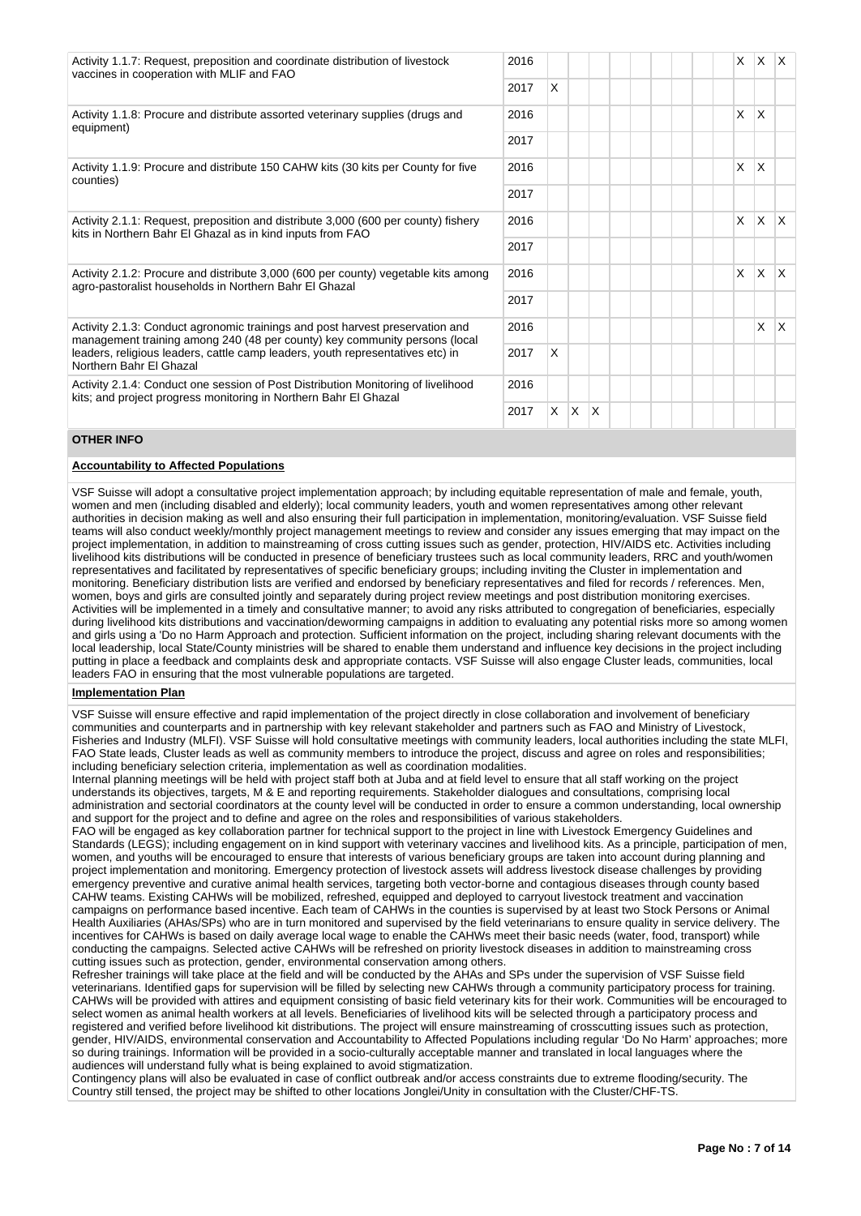| Activity 1.1.7: Request, preposition and coordinate distribution of livestock<br>vaccines in cooperation with MLIF and FAO                                  |      |    |     |     |  |  | X | ΙX.             | $\mathsf{X}$ |
|-------------------------------------------------------------------------------------------------------------------------------------------------------------|------|----|-----|-----|--|--|---|-----------------|--------------|
|                                                                                                                                                             |      | X  |     |     |  |  |   |                 |              |
| Activity 1.1.8: Procure and distribute assorted veterinary supplies (drugs and<br>equipment)                                                                | 2016 |    |     |     |  |  | X | X               |              |
|                                                                                                                                                             | 2017 |    |     |     |  |  |   |                 |              |
| Activity 1.1.9: Procure and distribute 150 CAHW kits (30 kits per County for five<br>counties)                                                              | 2016 |    |     |     |  |  | X | $\mathsf{X}$    |              |
|                                                                                                                                                             | 2017 |    |     |     |  |  |   |                 |              |
| Activity 2.1.1: Request, preposition and distribute 3,000 (600 per county) fishery<br>kits in Northern Bahr El Ghazal as in kind inputs from FAO            | 2016 |    |     |     |  |  | X | $\mathsf{\chi}$ | ΙX.          |
|                                                                                                                                                             | 2017 |    |     |     |  |  |   |                 |              |
| Activity 2.1.2: Procure and distribute 3,000 (600 per county) vegetable kits among<br>agro-pastoralist households in Northern Bahr El Ghazal                | 2016 |    |     |     |  |  | X | $\mathsf{\chi}$ | $\mathsf{X}$ |
|                                                                                                                                                             | 2017 |    |     |     |  |  |   |                 |              |
| Activity 2.1.3: Conduct agronomic trainings and post harvest preservation and<br>management training among 240 (48 per county) key community persons (local | 2016 |    |     |     |  |  |   | $\mathsf{x}$    | ΙX.          |
| leaders, religious leaders, cattle camp leaders, youth representatives etc) in<br>Northern Bahr El Ghazal                                                   |      | X  |     |     |  |  |   |                 |              |
| Activity 2.1.4: Conduct one session of Post Distribution Monitoring of livelihood<br>kits; and project progress monitoring in Northern Bahr El Ghazal       | 2016 |    |     |     |  |  |   |                 |              |
|                                                                                                                                                             |      | X. | ΙX. | ΙX. |  |  |   |                 |              |

# **OTHER INFO**

# **Accountability to Affected Populations**

VSF Suisse will adopt a consultative project implementation approach; by including equitable representation of male and female, youth, women and men (including disabled and elderly); local community leaders, youth and women representatives among other relevant authorities in decision making as well and also ensuring their full participation in implementation, monitoring/evaluation. VSF Suisse field teams will also conduct weekly/monthly project management meetings to review and consider any issues emerging that may impact on the project implementation, in addition to mainstreaming of cross cutting issues such as gender, protection, HIV/AIDS etc. Activities including livelihood kits distributions will be conducted in presence of beneficiary trustees such as local community leaders, RRC and youth/women representatives and facilitated by representatives of specific beneficiary groups; including inviting the Cluster in implementation and monitoring. Beneficiary distribution lists are verified and endorsed by beneficiary representatives and filed for records / references. Men, women, boys and girls are consulted jointly and separately during project review meetings and post distribution monitoring exercises. Activities will be implemented in a timely and consultative manner; to avoid any risks attributed to congregation of beneficiaries, especially during livelihood kits distributions and vaccination/deworming campaigns in addition to evaluating any potential risks more so among women and girls using a 'Do no Harm Approach and protection. Sufficient information on the project, including sharing relevant documents with the local leadership, local State/County ministries will be shared to enable them understand and influence key decisions in the project including putting in place a feedback and complaints desk and appropriate contacts. VSF Suisse will also engage Cluster leads, communities, local leaders FAO in ensuring that the most vulnerable populations are targeted.

#### **Implementation Plan**

VSF Suisse will ensure effective and rapid implementation of the project directly in close collaboration and involvement of beneficiary communities and counterparts and in partnership with key relevant stakeholder and partners such as FAO and Ministry of Livestock, Fisheries and Industry (MLFI). VSF Suisse will hold consultative meetings with community leaders, local authorities including the state MLFI, FAO State leads, Cluster leads as well as community members to introduce the project, discuss and agree on roles and responsibilities; including beneficiary selection criteria, implementation as well as coordination modalities.

Internal planning meetings will be held with project staff both at Juba and at field level to ensure that all staff working on the project understands its objectives, targets, M & E and reporting requirements. Stakeholder dialogues and consultations, comprising local administration and sectorial coordinators at the county level will be conducted in order to ensure a common understanding, local ownership and support for the project and to define and agree on the roles and responsibilities of various stakeholders.

FAO will be engaged as key collaboration partner for technical support to the project in line with Livestock Emergency Guidelines and Standards (LEGS); including engagement on in kind support with veterinary vaccines and livelihood kits. As a principle, participation of men, women, and youths will be encouraged to ensure that interests of various beneficiary groups are taken into account during planning and project implementation and monitoring. Emergency protection of livestock assets will address livestock disease challenges by providing emergency preventive and curative animal health services, targeting both vector-borne and contagious diseases through county based CAHW teams. Existing CAHWs will be mobilized, refreshed, equipped and deployed to carryout livestock treatment and vaccination campaigns on performance based incentive. Each team of CAHWs in the counties is supervised by at least two Stock Persons or Animal Health Auxiliaries (AHAs/SPs) who are in turn monitored and supervised by the field veterinarians to ensure quality in service delivery. The incentives for CAHWs is based on daily average local wage to enable the CAHWs meet their basic needs (water, food, transport) while conducting the campaigns. Selected active CAHWs will be refreshed on priority livestock diseases in addition to mainstreaming cross cutting issues such as protection, gender, environmental conservation among others.

Refresher trainings will take place at the field and will be conducted by the AHAs and SPs under the supervision of VSF Suisse field veterinarians. Identified gaps for supervision will be filled by selecting new CAHWs through a community participatory process for training. CAHWs will be provided with attires and equipment consisting of basic field veterinary kits for their work. Communities will be encouraged to select women as animal health workers at all levels. Beneficiaries of livelihood kits will be selected through a participatory process and registered and verified before livelihood kit distributions. The project will ensure mainstreaming of crosscutting issues such as protection, gender, HIV/AIDS, environmental conservation and Accountability to Affected Populations including regular 'Do No Harm' approaches; more so during trainings. Information will be provided in a socio-culturally acceptable manner and translated in local languages where the audiences will understand fully what is being explained to avoid stigmatization.

Contingency plans will also be evaluated in case of conflict outbreak and/or access constraints due to extreme flooding/security. The Country still tensed, the project may be shifted to other locations Jonglei/Unity in consultation with the Cluster/CHF-TS.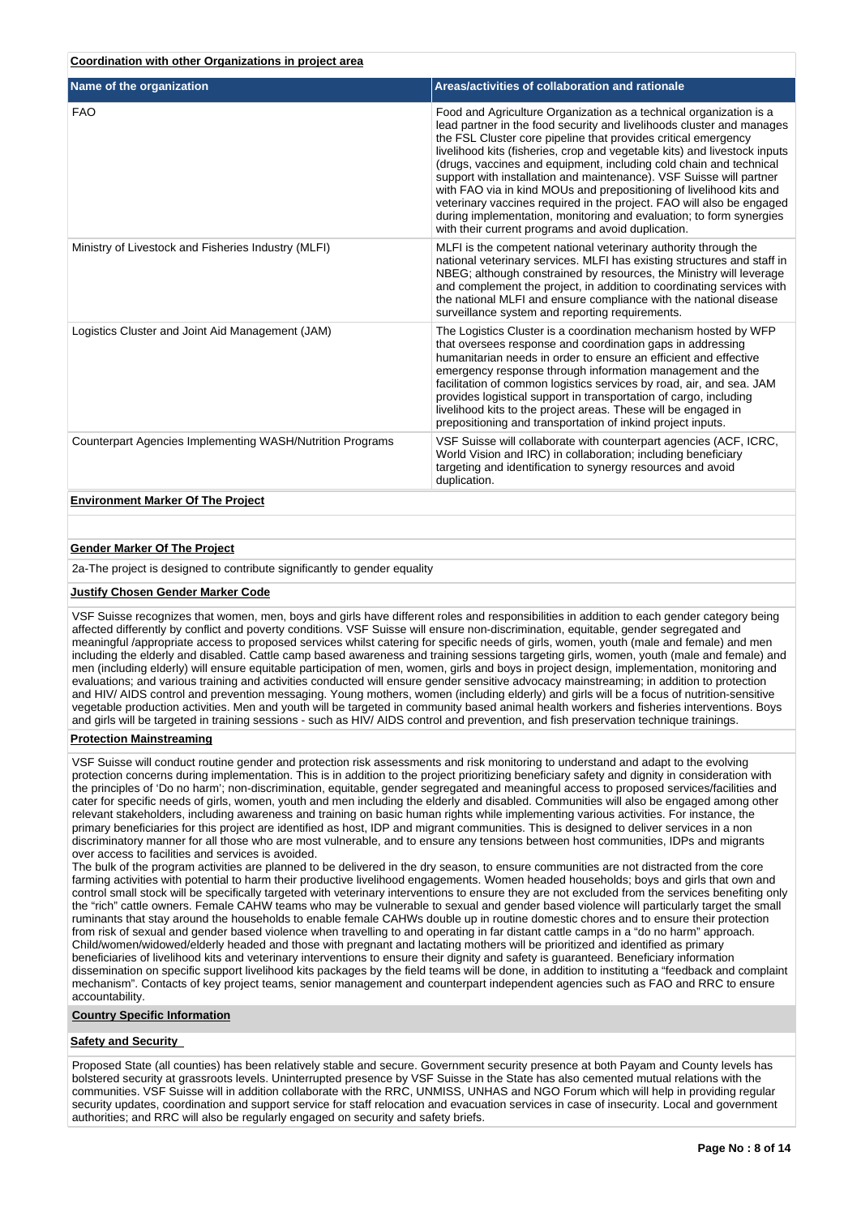# **Coordination with other Organizations in project area**

| Name of the organization                                         | Areas/activities of collaboration and rationale                                                                                                                                                                                                                                                                                                                                                                                                                                                                                                                                                                                                                                                                      |
|------------------------------------------------------------------|----------------------------------------------------------------------------------------------------------------------------------------------------------------------------------------------------------------------------------------------------------------------------------------------------------------------------------------------------------------------------------------------------------------------------------------------------------------------------------------------------------------------------------------------------------------------------------------------------------------------------------------------------------------------------------------------------------------------|
| <b>FAO</b>                                                       | Food and Agriculture Organization as a technical organization is a<br>lead partner in the food security and livelihoods cluster and manages<br>the FSL Cluster core pipeline that provides critical emergency<br>livelihood kits (fisheries, crop and vegetable kits) and livestock inputs<br>(drugs, vaccines and equipment, including cold chain and technical<br>support with installation and maintenance). VSF Suisse will partner<br>with FAO via in kind MOUs and prepositioning of livelihood kits and<br>veterinary vaccines required in the project. FAO will also be engaged<br>during implementation, monitoring and evaluation; to form synergies<br>with their current programs and avoid duplication. |
| Ministry of Livestock and Fisheries Industry (MLFI)              | MLFI is the competent national veterinary authority through the<br>national veterinary services. MLFI has existing structures and staff in<br>NBEG; although constrained by resources, the Ministry will leverage<br>and complement the project, in addition to coordinating services with<br>the national MLFI and ensure compliance with the national disease<br>surveillance system and reporting requirements.                                                                                                                                                                                                                                                                                                   |
| Logistics Cluster and Joint Aid Management (JAM)                 | The Logistics Cluster is a coordination mechanism hosted by WFP<br>that oversees response and coordination gaps in addressing<br>humanitarian needs in order to ensure an efficient and effective<br>emergency response through information management and the<br>facilitation of common logistics services by road, air, and sea. JAM<br>provides logistical support in transportation of cargo, including<br>livelihood kits to the project areas. These will be engaged in<br>prepositioning and transportation of inkind project inputs.                                                                                                                                                                         |
| <b>Counterpart Agencies Implementing WASH/Nutrition Programs</b> | VSF Suisse will collaborate with counterpart agencies (ACF, ICRC,<br>World Vision and IRC) in collaboration; including beneficiary<br>targeting and identification to synergy resources and avoid<br>duplication.                                                                                                                                                                                                                                                                                                                                                                                                                                                                                                    |
| <b>Environment Marker Of The Project</b>                         |                                                                                                                                                                                                                                                                                                                                                                                                                                                                                                                                                                                                                                                                                                                      |

# **Gender Marker Of The Project**

2a-The project is designed to contribute significantly to gender equality

#### **Justify Chosen Gender Marker Code**

VSF Suisse recognizes that women, men, boys and girls have different roles and responsibilities in addition to each gender category being affected differently by conflict and poverty conditions. VSF Suisse will ensure non-discrimination, equitable, gender segregated and meaningful /appropriate access to proposed services whilst catering for specific needs of girls, women, youth (male and female) and men including the elderly and disabled. Cattle camp based awareness and training sessions targeting girls, women, youth (male and female) and men (including elderly) will ensure equitable participation of men, women, girls and boys in project design, implementation, monitoring and evaluations; and various training and activities conducted will ensure gender sensitive advocacy mainstreaming; in addition to protection and HIV/ AIDS control and prevention messaging. Young mothers, women (including elderly) and girls will be a focus of nutrition-sensitive vegetable production activities. Men and youth will be targeted in community based animal health workers and fisheries interventions. Boys and girls will be targeted in training sessions - such as HIV/ AIDS control and prevention, and fish preservation technique trainings.

### **Protection Mainstreaming**

VSF Suisse will conduct routine gender and protection risk assessments and risk monitoring to understand and adapt to the evolving protection concerns during implementation. This is in addition to the project prioritizing beneficiary safety and dignity in consideration with the principles of 'Do no harm'; non-discrimination, equitable, gender segregated and meaningful access to proposed services/facilities and cater for specific needs of girls, women, youth and men including the elderly and disabled. Communities will also be engaged among other relevant stakeholders, including awareness and training on basic human rights while implementing various activities. For instance, the primary beneficiaries for this project are identified as host, IDP and migrant communities. This is designed to deliver services in a non discriminatory manner for all those who are most vulnerable, and to ensure any tensions between host communities, IDPs and migrants over access to facilities and services is avoided.

The bulk of the program activities are planned to be delivered in the dry season, to ensure communities are not distracted from the core farming activities with potential to harm their productive livelihood engagements. Women headed households; boys and girls that own and control small stock will be specifically targeted with veterinary interventions to ensure they are not excluded from the services benefiting only the "rich" cattle owners. Female CAHW teams who may be vulnerable to sexual and gender based violence will particularly target the small ruminants that stay around the households to enable female CAHWs double up in routine domestic chores and to ensure their protection from risk of sexual and gender based violence when travelling to and operating in far distant cattle camps in a "do no harm" approach. Child/women/widowed/elderly headed and those with pregnant and lactating mothers will be prioritized and identified as primary beneficiaries of livelihood kits and veterinary interventions to ensure their dignity and safety is guaranteed. Beneficiary information dissemination on specific support livelihood kits packages by the field teams will be done, in addition to instituting a "feedback and complaint mechanism". Contacts of key project teams, senior management and counterpart independent agencies such as FAO and RRC to ensure accountability.

#### **Country Specific Information**

## **Safety and Security**

Proposed State (all counties) has been relatively stable and secure. Government security presence at both Payam and County levels has bolstered security at grassroots levels. Uninterrupted presence by VSF Suisse in the State has also cemented mutual relations with the communities. VSF Suisse will in addition collaborate with the RRC, UNMISS, UNHAS and NGO Forum which will help in providing regular security updates, coordination and support service for staff relocation and evacuation services in case of insecurity. Local and government authorities; and RRC will also be regularly engaged on security and safety briefs.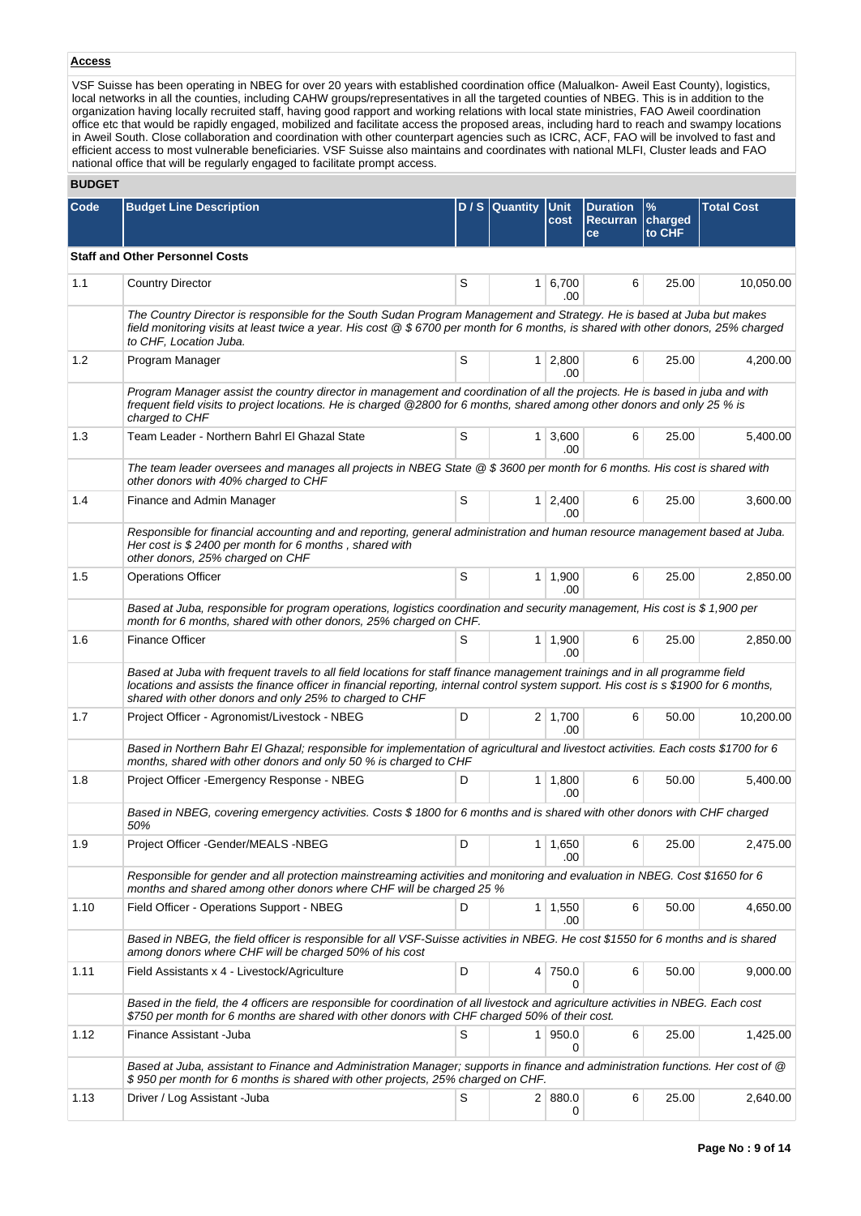# **Access**

VSF Suisse has been operating in NBEG for over 20 years with established coordination office (Malualkon- Aweil East County), logistics, local networks in all the counties, including CAHW groups/representatives in all the targeted counties of NBEG. This is in addition to the organization having locally recruited staff, having good rapport and working relations with local state ministries, FAO Aweil coordination office etc that would be rapidly engaged, mobilized and facilitate access the proposed areas, including hard to reach and swampy locations in Aweil South. Close collaboration and coordination with other counterpart agencies such as ICRC, ACF, FAO will be involved to fast and efficient access to most vulnerable beneficiaries. VSF Suisse also maintains and coordinates with national MLFI, Cluster leads and FAO national office that will be regularly engaged to facilitate prompt access.

## **BUDGET**

| Code | <b>Budget Line Description</b>                                                                                                                                                                                                                                                                                                   |                | D / S Quantity Unit | cost                   | <b>Duration</b><br>Recurran charged<br>ce | $\frac{9}{6}$<br>to CHF | <b>Total Cost</b> |  |  |  |  |
|------|----------------------------------------------------------------------------------------------------------------------------------------------------------------------------------------------------------------------------------------------------------------------------------------------------------------------------------|----------------|---------------------|------------------------|-------------------------------------------|-------------------------|-------------------|--|--|--|--|
|      | <b>Staff and Other Personnel Costs</b>                                                                                                                                                                                                                                                                                           |                |                     |                        |                                           |                         |                   |  |  |  |  |
| 1.1  | <b>Country Director</b>                                                                                                                                                                                                                                                                                                          | S              | 1 <sup>1</sup>      | 6,700<br>.00           | 6                                         | 25.00                   | 10,050.00         |  |  |  |  |
|      | The Country Director is responsible for the South Sudan Program Management and Strategy. He is based at Juba but makes<br>field monitoring visits at least twice a year. His cost @ \$6700 per month for 6 months, is shared with other donors, 25% charged<br>to CHF, Location Juba.                                            |                |                     |                        |                                           |                         |                   |  |  |  |  |
| 1.2  | Program Manager                                                                                                                                                                                                                                                                                                                  | S              |                     | $1 \quad 2,800$<br>.00 | 6                                         | 25.00                   | 4.200.00          |  |  |  |  |
|      | Program Manager assist the country director in management and coordination of all the projects. He is based in juba and with<br>frequent field visits to project locations. He is charged @2800 for 6 months, shared among other donors and only 25 % is<br>charged to CHF                                                       |                |                     |                        |                                           |                         |                   |  |  |  |  |
| 1.3  | Team Leader - Northern Bahrl El Ghazal State                                                                                                                                                                                                                                                                                     | S              |                     | $1 \mid 3,600$<br>.00  | 6                                         | 25.00                   | 5,400.00          |  |  |  |  |
|      | The team leader oversees and manages all projects in NBEG State @ \$3600 per month for 6 months. His cost is shared with<br>other donors with 40% charged to CHF                                                                                                                                                                 |                |                     |                        |                                           |                         |                   |  |  |  |  |
| 1.4  | Finance and Admin Manager                                                                                                                                                                                                                                                                                                        | S              |                     | $1 \mid 2,400$<br>.00  | 6                                         | 25.00                   | 3,600.00          |  |  |  |  |
|      | Responsible for financial accounting and and reporting, general administration and human resource management based at Juba.<br>Her cost is $$2400$ per month for 6 months, shared with<br>other donors, 25% charged on CHF                                                                                                       |                |                     |                        |                                           |                         |                   |  |  |  |  |
| 1.5  | <b>Operations Officer</b>                                                                                                                                                                                                                                                                                                        | S              |                     | $1 \mid 1,900$<br>.00. | 6                                         | 25.00                   | 2,850.00          |  |  |  |  |
|      | Based at Juba, responsible for program operations, logistics coordination and security management, His cost is \$ 1,900 per<br>month for 6 months, shared with other donors, 25% charged on CHF.                                                                                                                                 |                |                     |                        |                                           |                         |                   |  |  |  |  |
| 1.6  | <b>Finance Officer</b>                                                                                                                                                                                                                                                                                                           | S              |                     | $1 \mid 1,900$<br>.00  | 6                                         | 25.00                   | 2,850.00          |  |  |  |  |
|      | Based at Juba with frequent travels to all field locations for staff finance management trainings and in all programme field<br>locations and assists the finance officer in financial reporting, internal control system support. His cost is s \$1900 for 6 months,<br>shared with other donors and only 25% to charged to CHF |                |                     |                        |                                           |                         |                   |  |  |  |  |
| 1.7  | Project Officer - Agronomist/Livestock - NBEG                                                                                                                                                                                                                                                                                    | D              |                     | $2 \mid 1,700$<br>.00  | 6                                         | 50.00                   | 10,200.00         |  |  |  |  |
|      | Based in Northern Bahr El Ghazal; responsible for implementation of agricultural and livestoct activities. Each costs \$1700 for 6<br>months, shared with other donors and only 50 % is charged to CHF                                                                                                                           |                |                     |                        |                                           |                         |                   |  |  |  |  |
| 1.8  | Project Officer - Emergency Response - NBEG                                                                                                                                                                                                                                                                                      | D              |                     | $1 \mid 1,800$<br>.00  | 6                                         | 50.00                   | 5,400.00          |  |  |  |  |
|      | Based in NBEG, covering emergency activities. Costs \$1800 for 6 months and is shared with other donors with CHF charged<br>50%                                                                                                                                                                                                  |                |                     |                        |                                           |                         |                   |  |  |  |  |
| 1.9  | Project Officer - Gender/MEALS - NBEG                                                                                                                                                                                                                                                                                            | $\overline{D}$ |                     | $1 \mid 1,650$<br>.00  | 6                                         | 25.00                   | 2,475.00          |  |  |  |  |
|      | Responsible for gender and all protection mainstreaming activities and monitoring and evaluation in NBEG. Cost \$1650 for 6<br>months and shared among other donors where CHF will be charged 25 %                                                                                                                               |                |                     |                        |                                           |                         |                   |  |  |  |  |
| 1.10 | Field Officer - Operations Support - NBEG                                                                                                                                                                                                                                                                                        | D              |                     | $1 \mid 1,550$<br>.00  | 6                                         | 50.00                   | 4,650.00          |  |  |  |  |
|      | Based in NBEG, the field officer is responsible for all VSF-Suisse activities in NBEG. He cost \$1550 for 6 months and is shared<br>among donors where CHF will be charged 50% of his cost                                                                                                                                       |                |                     |                        |                                           |                         |                   |  |  |  |  |
| 1.11 | Field Assistants x 4 - Livestock/Agriculture                                                                                                                                                                                                                                                                                     | D              |                     | 4 750.0<br>0           | 6                                         | 50.00                   | 9,000.00          |  |  |  |  |
|      | Based in the field, the 4 officers are responsible for coordination of all livestock and agriculture activities in NBEG. Each cost<br>\$750 per month for 6 months are shared with other donors with CHF charged 50% of their cost.                                                                                              |                |                     |                        |                                           |                         |                   |  |  |  |  |
| 1.12 | Finance Assistant - Juba                                                                                                                                                                                                                                                                                                         | S              |                     | 1 950.0<br>0           | 6                                         | 25.00                   | 1,425.00          |  |  |  |  |
|      | Based at Juba, assistant to Finance and Administration Manager; supports in finance and administration functions. Her cost of @<br>\$950 per month for 6 months is shared with other projects, 25% charged on CHF.                                                                                                               |                |                     |                        |                                           |                         |                   |  |  |  |  |
| 1.13 | Driver / Log Assistant - Juba                                                                                                                                                                                                                                                                                                    | S              |                     | 2   880.0<br>0         | 6                                         | 25.00                   | 2,640.00          |  |  |  |  |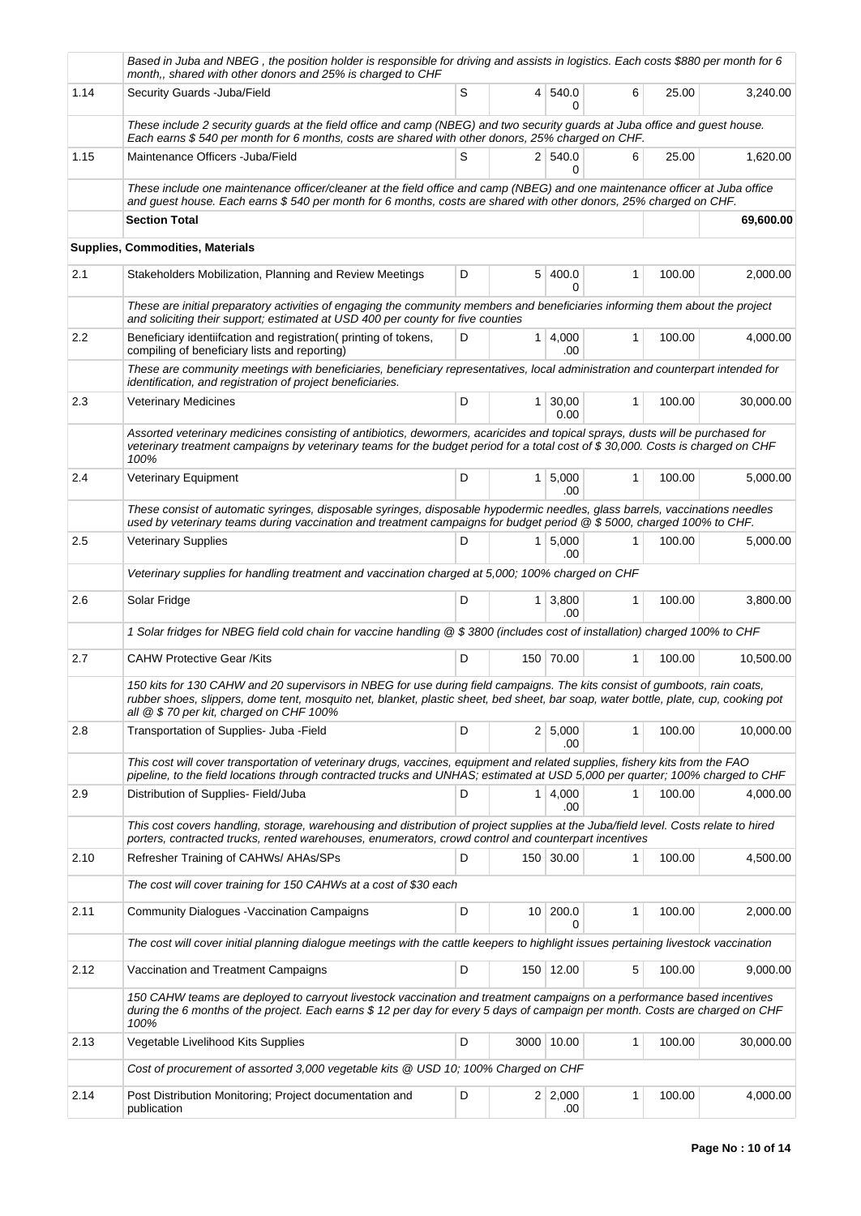|      | Based in Juba and NBEG, the position holder is responsible for driving and assists in logistics. Each costs \$880 per month for 6<br>month,, shared with other donors and 25% is charged to CHF                                                                                                              |   |                 |                       |              |        |           |  |  |  |
|------|--------------------------------------------------------------------------------------------------------------------------------------------------------------------------------------------------------------------------------------------------------------------------------------------------------------|---|-----------------|-----------------------|--------------|--------|-----------|--|--|--|
| 1.14 | Security Guards - Juba/Field                                                                                                                                                                                                                                                                                 | S | $\overline{4}$  | 540.0<br>0            | 6            | 25.00  | 3,240.00  |  |  |  |
|      | These include 2 security guards at the field office and camp (NBEG) and two security guards at Juba office and guest house.<br>Each earns \$540 per month for 6 months, costs are shared with other donors, 25% charged on CHF.                                                                              |   |                 |                       |              |        |           |  |  |  |
| 1.15 | Maintenance Officers - Juba/Field                                                                                                                                                                                                                                                                            | S |                 | 2 540.0<br>U          | 6            | 25.00  | 1,620.00  |  |  |  |
|      | These include one maintenance officer/cleaner at the field office and camp (NBEG) and one maintenance officer at Juba office<br>and guest house. Each earns \$540 per month for 6 months, costs are shared with other donors, 25% charged on CHF.                                                            |   |                 |                       |              |        |           |  |  |  |
|      | <b>Section Total</b>                                                                                                                                                                                                                                                                                         |   |                 |                       |              |        | 69,600.00 |  |  |  |
|      | Supplies, Commodities, Materials                                                                                                                                                                                                                                                                             |   |                 |                       |              |        |           |  |  |  |
| 2.1  | Stakeholders Mobilization, Planning and Review Meetings                                                                                                                                                                                                                                                      | D |                 | 5 400.0               | $\mathbf{1}$ | 100.00 | 2,000.00  |  |  |  |
|      | These are initial preparatory activities of engaging the community members and beneficiaries informing them about the project<br>and soliciting their support; estimated at USD 400 per county for five counties                                                                                             |   |                 |                       |              |        |           |  |  |  |
| 2.2  | Beneficiary identiifcation and registration (printing of tokens,<br>compiling of beneficiary lists and reporting)                                                                                                                                                                                            | D |                 | 1 4,000<br>.00        | $\mathbf{1}$ | 100.00 | 4,000.00  |  |  |  |
|      | These are community meetings with beneficiaries, beneficiary representatives, local administration and counterpart intended for<br>identification, and registration of project beneficiaries.                                                                                                                |   |                 |                       |              |        |           |  |  |  |
| 2.3  | <b>Veterinary Medicines</b>                                                                                                                                                                                                                                                                                  | D | 1 <sup>1</sup>  | 30,00<br>0.00         | 1            | 100.00 | 30,000.00 |  |  |  |
|      | Assorted veterinary medicines consisting of antibiotics, dewormers, acaricides and topical sprays, dusts will be purchased for<br>veterinary treatment campaigns by veterinary teams for the budget period for a total cost of \$30,000. Costs is charged on CHF<br>100%                                     |   |                 |                       |              |        |           |  |  |  |
| 2.4  | Veterinary Equipment                                                                                                                                                                                                                                                                                         | D |                 | 1   5,000<br>.00      | 1            | 100.00 | 5,000.00  |  |  |  |
|      | These consist of automatic syringes, disposable syringes, disposable hypodermic needles, glass barrels, vaccinations needles<br>used by veterinary teams during vaccination and treatment campaigns for budget period @ \$5000, charged 100% to CHF.                                                         |   |                 |                       |              |        |           |  |  |  |
| 2.5  | <b>Veterinary Supplies</b>                                                                                                                                                                                                                                                                                   | D |                 | 1   5,000<br>.00      | 1            | 100.00 | 5,000.00  |  |  |  |
|      | Veterinary supplies for handling treatment and vaccination charged at 5,000; 100% charged on CHF                                                                                                                                                                                                             |   |                 |                       |              |        |           |  |  |  |
| 2.6  | Solar Fridge                                                                                                                                                                                                                                                                                                 | D |                 | $1 \mid 3,800$<br>.00 | 1            | 100.00 | 3,800.00  |  |  |  |
|      | 1 Solar fridges for NBEG field cold chain for vaccine handling @ \$3800 (includes cost of installation) charged 100% to CHF                                                                                                                                                                                  |   |                 |                       |              |        |           |  |  |  |
| 2.7  | <b>CAHW Protective Gear /Kits</b>                                                                                                                                                                                                                                                                            | D |                 | 150 70.00             | $\mathbf{1}$ | 100.00 | 10,500.00 |  |  |  |
|      | 150 kits for 130 CAHW and 20 supervisors in NBEG for use during field campaigns. The kits consist of gumboots, rain coats,<br>rubber shoes, slippers, dome tent, mosquito net, blanket, plastic sheet, bed sheet, bar soap, water bottle, plate, cup, cooking pot<br>all @ \$70 per kit, charged on CHF 100% |   |                 |                       |              |        |           |  |  |  |
| 2.8  | Transportation of Supplies- Juba - Field                                                                                                                                                                                                                                                                     | D |                 | 2   5,000<br>.00      | 1            | 100.00 | 10,000.00 |  |  |  |
|      | This cost will cover transportation of veterinary drugs, vaccines, equipment and related supplies, fishery kits from the FAO<br>pipeline, to the field locations through contracted trucks and UNHAS; estimated at USD 5,000 per quarter; 100% charged to CHF                                                |   |                 |                       |              |        |           |  |  |  |
| 2.9  | Distribution of Supplies- Field/Juba                                                                                                                                                                                                                                                                         | D | 1               | 4,000<br>.00          | 1            | 100.00 | 4,000.00  |  |  |  |
|      | This cost covers handling, storage, warehousing and distribution of project supplies at the Juba/field level. Costs relate to hired<br>porters, contracted trucks, rented warehouses, enumerators, crowd control and counterpart incentives                                                                  |   |                 |                       |              |        |           |  |  |  |
| 2.10 | Refresher Training of CAHWs/ AHAs/SPs                                                                                                                                                                                                                                                                        | D |                 | 150 30.00             | 1            | 100.00 | 4,500.00  |  |  |  |
|      | The cost will cover training for 150 CAHWs at a cost of \$30 each                                                                                                                                                                                                                                            |   |                 |                       |              |        |           |  |  |  |
| 2.11 | <b>Community Dialogues - Vaccination Campaigns</b>                                                                                                                                                                                                                                                           | D | 10 <sup>1</sup> | 200.0<br>0            | 1            | 100.00 | 2,000.00  |  |  |  |
|      | The cost will cover initial planning dialogue meetings with the cattle keepers to highlight issues pertaining livestock vaccination                                                                                                                                                                          |   |                 |                       |              |        |           |  |  |  |
| 2.12 | Vaccination and Treatment Campaigns                                                                                                                                                                                                                                                                          | D |                 | 150 12.00             | 5            | 100.00 | 9,000.00  |  |  |  |
|      | 150 CAHW teams are deployed to carryout livestock vaccination and treatment campaigns on a performance based incentives<br>during the 6 months of the project. Each earns \$12 per day for every 5 days of campaign per month. Costs are charged on CHF<br>100%                                              |   |                 |                       |              |        |           |  |  |  |
| 2.13 | Vegetable Livelihood Kits Supplies                                                                                                                                                                                                                                                                           | D |                 | 3000 10.00            | 1            | 100.00 | 30,000.00 |  |  |  |
|      | Cost of procurement of assorted 3,000 vegetable kits @ USD 10; 100% Charged on CHF                                                                                                                                                                                                                           |   |                 |                       |              |        |           |  |  |  |
| 2.14 | Post Distribution Monitoring; Project documentation and<br>publication                                                                                                                                                                                                                                       | D |                 | $2 \mid 2,000$<br>.00 | 1            | 100.00 | 4,000.00  |  |  |  |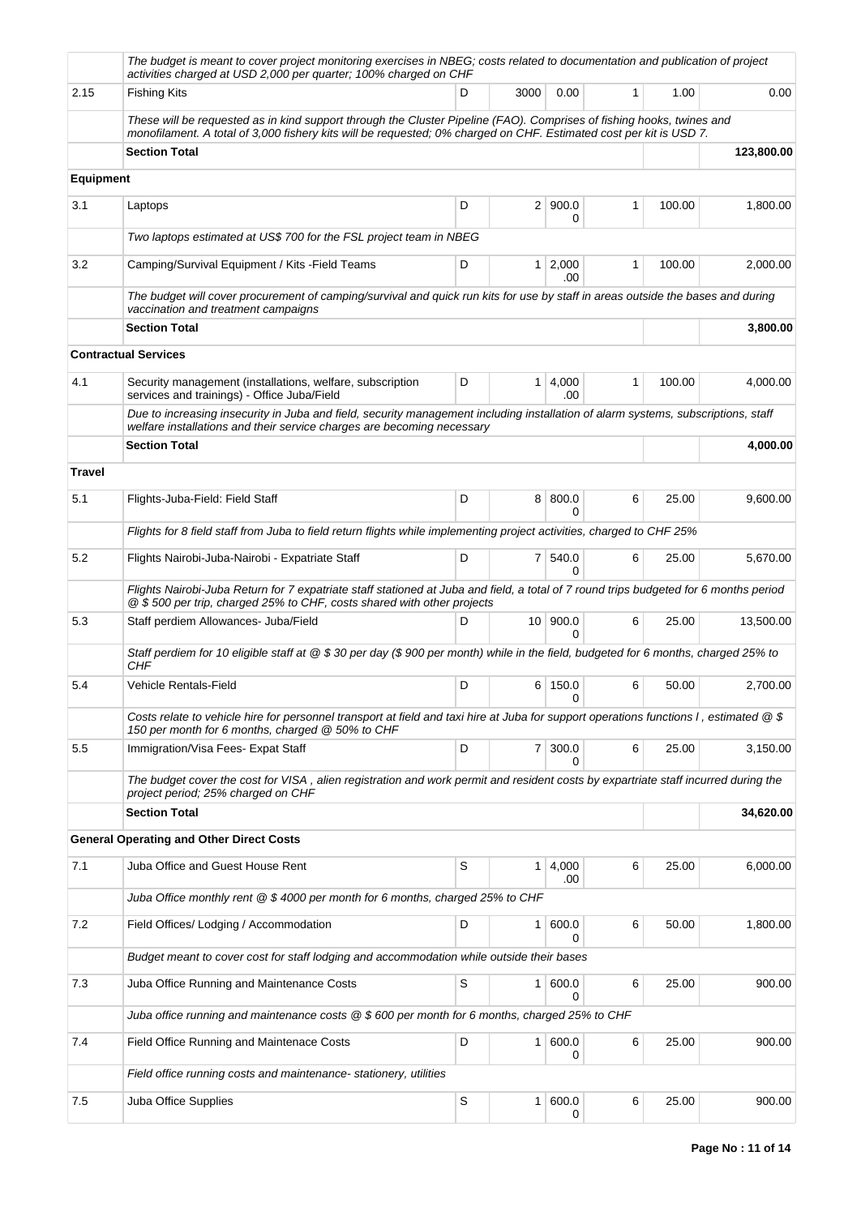|                                                                                          | The budget is meant to cover project monitoring exercises in NBEG; costs related to documentation and publication of project<br>activities charged at USD 2,000 per quarter; 100% charged on CHF                                            |   |                |                         |              |        |            |  |  |
|------------------------------------------------------------------------------------------|---------------------------------------------------------------------------------------------------------------------------------------------------------------------------------------------------------------------------------------------|---|----------------|-------------------------|--------------|--------|------------|--|--|
| 2.15                                                                                     | <b>Fishing Kits</b>                                                                                                                                                                                                                         | D | 3000           | 0.00                    | $\mathbf{1}$ | 1.00   | 0.00       |  |  |
|                                                                                          | These will be requested as in kind support through the Cluster Pipeline (FAO). Comprises of fishing hooks, twines and<br>monofilament. A total of 3,000 fishery kits will be requested; 0% charged on CHF. Estimated cost per kit is USD 7. |   |                |                         |              |        |            |  |  |
|                                                                                          | <b>Section Total</b>                                                                                                                                                                                                                        |   |                |                         |              |        | 123,800.00 |  |  |
| <b>Equipment</b>                                                                         |                                                                                                                                                                                                                                             |   |                |                         |              |        |            |  |  |
| 3.1                                                                                      | Laptops                                                                                                                                                                                                                                     | D |                | 2   900.0<br>0          | 1            | 100.00 | 1,800.00   |  |  |
|                                                                                          | Two laptops estimated at US\$ 700 for the FSL project team in NBEG                                                                                                                                                                          |   |                |                         |              |        |            |  |  |
| 3.2                                                                                      | Camping/Survival Equipment / Kits - Field Teams                                                                                                                                                                                             | D |                | 1 2,000<br>.00          | 1            | 100.00 | 2,000.00   |  |  |
|                                                                                          | The budget will cover procurement of camping/survival and quick run kits for use by staff in areas outside the bases and during<br>vaccination and treatment campaigns                                                                      |   |                |                         |              |        |            |  |  |
|                                                                                          | <b>Section Total</b>                                                                                                                                                                                                                        |   |                |                         |              |        | 3,800.00   |  |  |
|                                                                                          | <b>Contractual Services</b>                                                                                                                                                                                                                 |   |                |                         |              |        |            |  |  |
| 4.1                                                                                      | Security management (installations, welfare, subscription<br>services and trainings) - Office Juba/Field                                                                                                                                    | D |                | 1   4,000<br>.00        | 1            | 100.00 | 4,000.00   |  |  |
|                                                                                          | Due to increasing insecurity in Juba and field, security management including installation of alarm systems, subscriptions, staff<br>welfare installations and their service charges are becoming necessary                                 |   |                |                         |              |        |            |  |  |
|                                                                                          | <b>Section Total</b>                                                                                                                                                                                                                        |   |                |                         |              |        | 4,000.00   |  |  |
| <b>Travel</b>                                                                            |                                                                                                                                                                                                                                             |   |                |                         |              |        |            |  |  |
| 5.1                                                                                      | Flights-Juba-Field: Field Staff                                                                                                                                                                                                             | D |                | 8 800.0<br><sup>0</sup> | 6            | 25.00  | 9,600.00   |  |  |
|                                                                                          | Flights for 8 field staff from Juba to field return flights while implementing project activities, charged to CHF 25%                                                                                                                       |   |                |                         |              |        |            |  |  |
| 5.2                                                                                      | Flights Nairobi-Juba-Nairobi - Expatriate Staff                                                                                                                                                                                             | D |                | 7 540.0<br>$\Omega$     | 6            | 25.00  | 5,670.00   |  |  |
|                                                                                          | Flights Nairobi-Juba Return for 7 expatriate staff stationed at Juba and field, a total of 7 round trips budgeted for 6 months period<br>@ \$500 per trip, charged 25% to CHF, costs shared with other projects                             |   |                |                         |              |        |            |  |  |
| 5.3                                                                                      | Staff perdiem Allowances- Juba/Field                                                                                                                                                                                                        | D |                | 10   900.0<br>0         | 6            | 25.00  | 13,500.00  |  |  |
|                                                                                          | Staff perdiem for 10 eligible staff at @ \$30 per day (\$ 900 per month) while in the field, budgeted for 6 months, charged 25% to<br>CHF                                                                                                   |   |                |                         |              |        |            |  |  |
| 5.4                                                                                      | <b>Vehicle Rentals-Field</b>                                                                                                                                                                                                                | D |                | 6 150.0<br>0            | 6            | 50.00  | 2,700.00   |  |  |
|                                                                                          | Costs relate to vehicle hire for personnel transport at field and taxi hire at Juba for support operations functions I, estimated @ \$<br>150 per month for 6 months, charged @ 50% to CHF                                                  |   |                |                         |              |        |            |  |  |
| 5.5                                                                                      | Immigration/Visa Fees- Expat Staff                                                                                                                                                                                                          | D |                | 7 300.0<br>0            | 6            | 25.00  | 3,150.00   |  |  |
|                                                                                          | The budget cover the cost for VISA, alien registration and work permit and resident costs by expartriate staff incurred during the<br>project period; 25% charged on CHF                                                                    |   |                |                         |              |        |            |  |  |
|                                                                                          | <b>Section Total</b>                                                                                                                                                                                                                        |   |                |                         |              |        | 34,620.00  |  |  |
|                                                                                          | <b>General Operating and Other Direct Costs</b>                                                                                                                                                                                             |   |                |                         |              |        |            |  |  |
| 7.1                                                                                      | Juba Office and Guest House Rent                                                                                                                                                                                                            | S |                | 1   4,000<br>.00        | 6            | 25.00  | 6,000.00   |  |  |
|                                                                                          | Juba Office monthly rent $@$ \$ 4000 per month for 6 months, charged 25% to CHF                                                                                                                                                             |   |                |                         |              |        |            |  |  |
| 7.2                                                                                      | Field Offices/ Lodging / Accommodation                                                                                                                                                                                                      | D | 1 <sup>1</sup> | 600.0<br>0              | 6            | 50.00  | 1,800.00   |  |  |
| Budget meant to cover cost for staff lodging and accommodation while outside their bases |                                                                                                                                                                                                                                             |   |                |                         |              |        |            |  |  |
| 7.3                                                                                      | Juba Office Running and Maintenance Costs                                                                                                                                                                                                   | S |                | 1 600.0<br>0            | 6            | 25.00  | 900.00     |  |  |
|                                                                                          | Juba office running and maintenance costs $@$ \$ 600 per month for 6 months, charged 25% to CHF                                                                                                                                             |   |                |                         |              |        |            |  |  |
| 7.4                                                                                      | Field Office Running and Maintenace Costs                                                                                                                                                                                                   | D |                | 1   600.0<br>0          | 6            | 25.00  | 900.00     |  |  |
|                                                                                          | Field office running costs and maintenance-stationery, utilities                                                                                                                                                                            |   |                |                         |              |        |            |  |  |
| 7.5                                                                                      | Juba Office Supplies                                                                                                                                                                                                                        | S |                | 1 600.0<br>0            | 6            | 25.00  | 900.00     |  |  |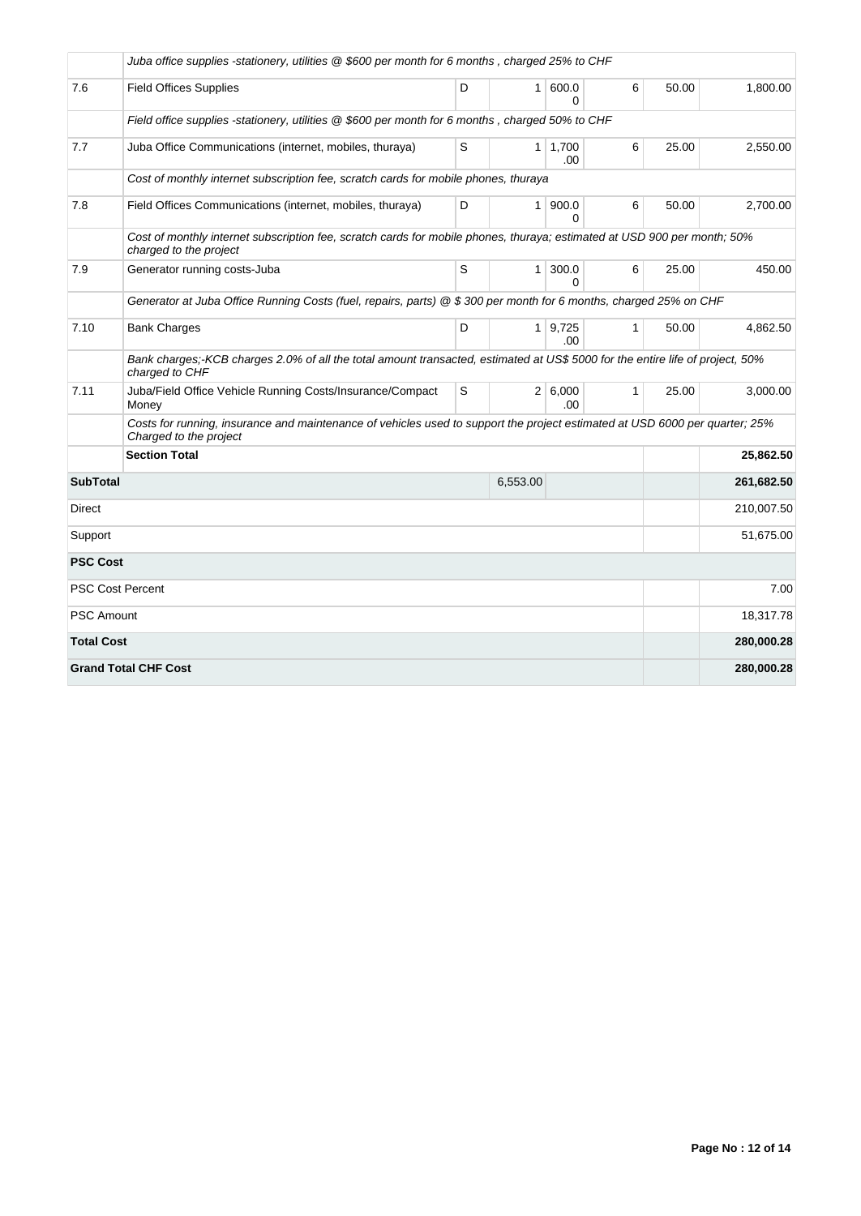|                   | Juba office supplies -stationery, utilities @ \$600 per month for 6 months, charged 25% to CHF                                                        |   |              |                       |              |       |            |
|-------------------|-------------------------------------------------------------------------------------------------------------------------------------------------------|---|--------------|-----------------------|--------------|-------|------------|
| 7.6               | <b>Field Offices Supplies</b>                                                                                                                         | D | $\mathbf{1}$ | 600.0<br>0            | 6            | 50.00 | 1,800.00   |
|                   | Field office supplies -stationery, utilities @ \$600 per month for 6 months, charged 50% to CHF                                                       |   |              |                       |              |       |            |
| 7.7               | Juba Office Communications (internet, mobiles, thuraya)                                                                                               | S |              | $1 \mid 1,700$<br>.00 | 6            | 25.00 | 2,550.00   |
|                   | Cost of monthly internet subscription fee, scratch cards for mobile phones, thuraya                                                                   |   |              |                       |              |       |            |
| 7.8               | Field Offices Communications (internet, mobiles, thuraya)                                                                                             | D | $\mathbf{1}$ | 900.0<br>0            | 6            | 50.00 | 2,700.00   |
|                   | Cost of monthly internet subscription fee, scratch cards for mobile phones, thuraya; estimated at USD 900 per month; 50%<br>charged to the project    |   |              |                       |              |       |            |
| 7.9               | Generator running costs-Juba                                                                                                                          | S | $\mathbf{1}$ | 300.0<br>$\Omega$     | 6            | 25.00 | 450.00     |
|                   | Generator at Juba Office Running Costs (fuel, repairs, parts) @ \$ 300 per month for 6 months, charged 25% on CHF                                     |   |              |                       |              |       |            |
| 7.10              | <b>Bank Charges</b>                                                                                                                                   | D |              | $1 \mid 9.725$<br>.00 | $\mathbf{1}$ | 50.00 | 4,862.50   |
|                   | Bank charges;-KCB charges 2.0% of all the total amount transacted, estimated at US\$ 5000 for the entire life of project, 50%<br>charged to CHF       |   |              |                       |              |       |            |
| 7.11              | Juba/Field Office Vehicle Running Costs/Insurance/Compact<br>Money                                                                                    | S |              | 2   6,000<br>.00.     | $\mathbf{1}$ | 25.00 | 3,000.00   |
|                   | Costs for running, insurance and maintenance of vehicles used to support the project estimated at USD 6000 per quarter; 25%<br>Charged to the project |   |              |                       |              |       |            |
|                   | <b>Section Total</b>                                                                                                                                  |   |              |                       |              |       | 25,862.50  |
| <b>SubTotal</b>   |                                                                                                                                                       |   | 6,553.00     |                       |              |       | 261,682.50 |
| Direct            |                                                                                                                                                       |   |              |                       |              |       | 210,007.50 |
| Support           |                                                                                                                                                       |   | 51,675.00    |                       |              |       |            |
| <b>PSC Cost</b>   |                                                                                                                                                       |   |              |                       |              |       |            |
|                   | <b>PSC Cost Percent</b>                                                                                                                               |   |              |                       |              |       | 7.00       |
| PSC Amount        |                                                                                                                                                       |   |              |                       |              |       | 18,317.78  |
| <b>Total Cost</b> |                                                                                                                                                       |   |              |                       |              |       | 280,000.28 |
|                   | <b>Grand Total CHF Cost</b>                                                                                                                           |   |              |                       |              |       | 280,000.28 |